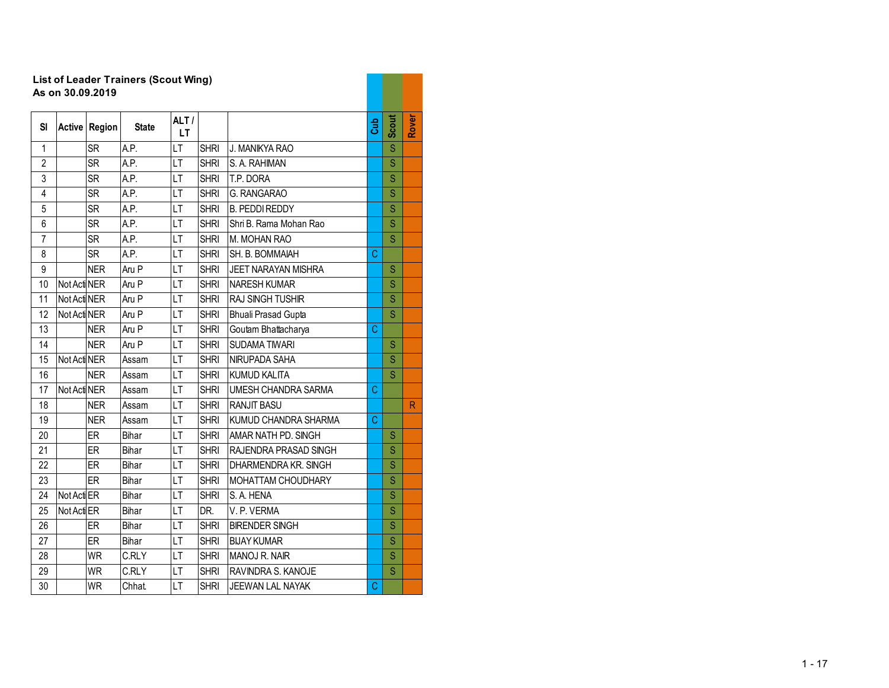## **List of Leader Trainers (Scout Wing) As on 30.09.2019**

| SI             | Active       | Region     | <b>State</b> | ALT/<br>LT. |             |                            | <b>Cub</b> | Scout | Rover        |
|----------------|--------------|------------|--------------|-------------|-------------|----------------------------|------------|-------|--------------|
| $\mathbf{1}$   |              | <b>SR</b>  | A.P.         | LT          | <b>SHRI</b> | J. MANIKYA RAO             |            | Ś     |              |
| $\overline{2}$ |              | <b>SR</b>  | A.P.         | LT          | <b>SHRI</b> | S. A. RAHIMAN              |            | Ś     |              |
| 3              |              | <b>SR</b>  | A.P.         | LT          | <b>SHRI</b> | T.P. DORA                  |            | Ś     |              |
| $\overline{4}$ |              | <b>SR</b>  | A.P.         | LT          | <b>SHRI</b> | G. RANGARAO                |            | S     |              |
| 5              |              | <b>SR</b>  | A.P.         | LT          | <b>SHRI</b> | <b>B. PEDDI REDDY</b>      |            | Ś     |              |
| 6              |              | <b>SR</b>  | A.P.         | LT          | <b>SHRI</b> | Shri B. Rama Mohan Rao     |            | Ś     |              |
| $\overline{7}$ |              | <b>SR</b>  | A.P.         | LT          | <b>SHRI</b> | M. MOHAN RAO               |            | S     |              |
| 8              |              | <b>SR</b>  | A.P.         | LT          | <b>SHRI</b> | SH. B. BOMMAIAH            | C          |       |              |
| 9              |              | <b>NER</b> | Aru P        | LT          | <b>SHRI</b> | <b>JEET NARAYAN MISHRA</b> |            | S     |              |
| 10             | Not Acti NER |            | Aru P        | LT          | <b>SHRI</b> | <b>NARESH KUMAR</b>        |            | Ś     |              |
| 11             | Not Acti NER |            | Aru P        | LT          | <b>SHRI</b> | <b>RAJ SINGH TUSHIR</b>    |            | S     |              |
| 12             | Not Acti NER |            | Aru P        | LT          | <b>SHRI</b> | <b>Bhuali Prasad Gupta</b> |            | S     |              |
| 13             |              | <b>NER</b> | Aru P        | LT          | <b>SHRI</b> | Goutam Bhattacharya        | C          |       |              |
| 14             |              | <b>NER</b> | Aru P        | LT          | <b>SHRI</b> | <b>SUDAMA TIWARI</b>       |            | S     |              |
| 15             | Not Acti NER |            | Assam        | LT          | <b>SHRI</b> | <b>NIRUPADA SAHA</b>       |            | S     |              |
| 16             |              | <b>NER</b> | Assam        | LT          | <b>SHRI</b> | <b>KUMUD KALITA</b>        |            | S     |              |
| 17             | Not Acti NER |            | Assam        | LT          | <b>SHRI</b> | <b>UMESH CHANDRA SARMA</b> | C          |       |              |
| 18             |              | <b>NER</b> | Assam        | LT          | <b>SHRI</b> | <b>RANJIT BASU</b>         |            |       | $\mathsf{R}$ |
| 19             |              | <b>NER</b> | Assam        | LT          | <b>SHRI</b> | KUMUD CHANDRA SHARMA       | C          |       |              |
| 20             |              | ER         | Bihar        | LT          | <b>SHRI</b> | AMAR NATH PD. SINGH        |            | S     |              |
| 21             |              | ER         | Bihar        | LT          | <b>SHRI</b> | RAJENDRA PRASAD SINGH      |            | S     |              |
| 22             |              | ER         | Bihar        | LT          | <b>SHRI</b> | DHARMENDRA KR. SINGH       |            | S     |              |
| 23             |              | ER         | <b>Bihar</b> | LT          | <b>SHRI</b> | MOHATTAM CHOUDHARY         |            | S     |              |
| 24             | Not Act ER   |            | Bihar        | LT          | <b>SHRI</b> | S. A. HENA                 |            | S     |              |
| 25             | Not Acti ER  |            | Bihar        | LT          | DR.         | V.P. VERMA                 |            | S     |              |
| 26             |              | ER         | Bihar        | LT          | <b>SHRI</b> | <b>BIRENDER SINGH</b>      |            | S     |              |
| 27             |              | ER         | <b>Bihar</b> | LT          | <b>SHRI</b> | <b>BIJAY KUMAR</b>         |            | S     |              |
| 28             |              | <b>WR</b>  | C.RLY        | LT          | <b>SHRI</b> | MANOJ R. NAIR              |            | S     |              |
| 29             |              | <b>WR</b>  | C.RLY        | LT          | <b>SHRI</b> | RAVINDRA S. KANOJE         |            | S     |              |
| 30             |              | <b>WR</b>  | Chhat        | LT          | <b>SHRI</b> | <b>JEEWAN LAL NAYAK</b>    | C          |       |              |

. .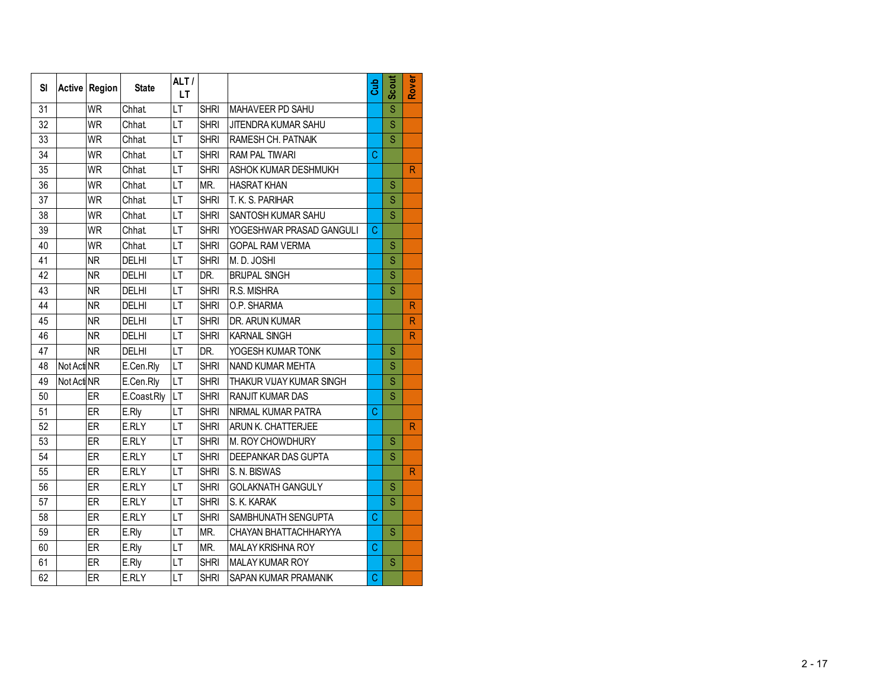| SI |             | Active Region | <b>State</b> | ALT/<br>LT.              |             |                          | Gub | <b>Scout</b>            | Rover          |
|----|-------------|---------------|--------------|--------------------------|-------------|--------------------------|-----|-------------------------|----------------|
| 31 |             | <b>WR</b>     | Chhat        | LT                       | <b>SHRI</b> | MAHAVEER PD SAHU         |     | Ś                       |                |
| 32 |             | <b>WR</b>     | <b>Chhat</b> | LT                       | <b>SHRI</b> | JITENDRA KUMAR SAHU      |     | S                       |                |
| 33 |             | WR            | <b>Chhat</b> | LT                       | <b>SHRI</b> | RAMESH CH. PATNAIK       |     | $\overline{\mathsf{S}}$ |                |
| 34 |             | <b>WR</b>     | <b>Chhat</b> | LT                       | <b>SHRI</b> | <b>RAM PAL TIWARI</b>    | C   |                         |                |
| 35 |             | <b>WR</b>     | Chhat.       | LT                       | <b>SHRI</b> | ASHOK KUMAR DESHMUKH     |     |                         | $\mathsf{R}$   |
| 36 |             | <b>WR</b>     | <b>Chhat</b> | LT                       | MR.         | <b>HASRAT KHAN</b>       |     | Ś                       |                |
| 37 |             | <b>WR</b>     | <b>Chhat</b> | LT                       | <b>SHRI</b> | T. K. S. PARIHAR         |     | S                       |                |
| 38 |             | <b>WR</b>     | Chhat.       | LT                       | <b>SHRI</b> | SANTOSH KUMAR SAHU       |     | S                       |                |
| 39 |             | <b>WR</b>     | <b>Chhat</b> | LT                       | <b>SHRI</b> | YOGESHWAR PRASAD GANGULI | C   |                         |                |
| 40 |             | <b>WR</b>     | <b>Chhat</b> | LT                       | <b>SHRI</b> | <b>GOPAL RAM VERMA</b>   |     | S                       |                |
| 41 |             | <b>NR</b>     | <b>DELHI</b> | LT                       | <b>SHRI</b> | M. D. JOSHI              |     | S                       |                |
| 42 |             | <b>NR</b>     | <b>DELHI</b> | LT                       | DR.         | <b>BRIJPAL SINGH</b>     |     | S                       |                |
| 43 |             | <b>NR</b>     | <b>DELHI</b> | LT                       | <b>SHRI</b> | R.S. MISHRA              |     | Ś                       |                |
| 44 |             | <b>NR</b>     | <b>DELHI</b> | LT                       | <b>SHRI</b> | O.P. SHARMA              |     |                         | R              |
| 45 |             | <b>NR</b>     | DELHI        | LT                       | <b>SHRI</b> | DR. ARUN KUMAR           |     |                         | $\mathsf{R}$   |
| 46 |             | <b>NR</b>     | <b>DELHI</b> | LT                       | <b>SHRI</b> | KARNAIL SINGH            |     |                         | R              |
| 47 |             | <b>NR</b>     | <b>DELHI</b> | LT                       | DR.         | YOGESH KUMAR TONK        |     | S                       |                |
| 48 | Not Acti NR |               | E.Cen.Rly    | $\overline{\mathsf{LT}}$ | <b>SHRI</b> | NAND KUMAR MEHTA         |     | Ś                       |                |
| 49 | Not Acti NR |               | E.Cen.Rly    | LT                       | <b>SHRI</b> | THAKUR VIJAY KUMAR SINGH |     | Ś                       |                |
| 50 |             | ER            | E.CoastRly   | LT                       | <b>SHRI</b> | RANJIT KUMAR DAS         |     | S                       |                |
| 51 |             | ER            | E.Rly        | LT                       | <b>SHRI</b> | NIRMAL KUMAR PATRA       | C   |                         |                |
| 52 |             | ER            | E.RLY        | LT                       | <b>SHRI</b> | ARUN K. CHATTERJEE       |     |                         | $\overline{R}$ |
| 53 |             | ER            | E.RLY        | LT                       | <b>SHRI</b> | M. ROY CHOWDHURY         |     | S                       |                |
| 54 |             | ER            | E.RLY        | LT                       | <b>SHRI</b> | DEEPANKAR DAS GUPTA      |     | S                       |                |
| 55 |             | ER            | E.RLY        | LT                       | <b>SHRI</b> | S. N. BISWAS             |     |                         | $\mathsf{R}$   |
| 56 |             | ER            | E.RLY        | LT                       | <b>SHRI</b> | <b>GOLAKNATH GANGULY</b> |     | S                       |                |
| 57 |             | ER            | E.RLY        | LT                       | <b>SHRI</b> | S. K. KARAK              |     | S                       |                |
| 58 |             | ER            | E.RLY        | $\overline{LT}$          | <b>SHRI</b> | SAMBHUNATH SENGUPTA      | Ċ   |                         |                |
| 59 |             | ER            | E.Rly        | LT                       | MR.         | CHAYAN BHATTACHHARYYA    |     | S                       |                |
| 60 |             | ER            | E.Rly        | LT                       | MR.         | <b>MALAY KRISHNA ROY</b> | C   |                         |                |
| 61 |             | ER            | E.Rly        | LT                       | <b>SHRI</b> | <b>MALAY KUMAR ROY</b>   |     | Ś                       |                |
| 62 |             | ER            | E.RLY        | LT                       | <b>SHRI</b> | SAPAN KUMAR PRAMANIK     | C   |                         |                |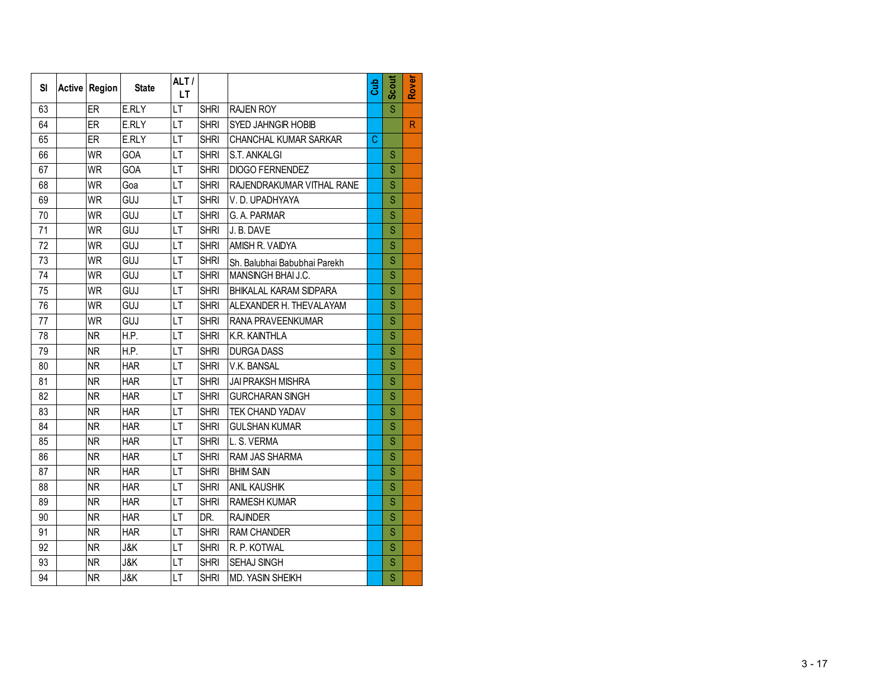| <b>SI</b> | Active Region | <b>State</b>   | ALT/<br>LT.     |             |                               | Gub | Scout | Rover |
|-----------|---------------|----------------|-----------------|-------------|-------------------------------|-----|-------|-------|
| 63        | <b>ER</b>     | E.RLY          | LT              | <b>SHRI</b> | <b>RAJEN ROY</b>              |     | Ś     |       |
| 64        | ER            | E.RLY          | LT              | <b>SHRI</b> | SYED JAHNGIR HOBIB            |     |       | R     |
| 65        | ER            | E.RLY          | $\overline{LT}$ | <b>SHRI</b> | CHANCHAL KUMAR SARKAR         | C   |       |       |
| 66        | <b>WR</b>     | GOA            | LT              | <b>SHRI</b> | S.T. ANKALGI                  |     | S     |       |
| 67        | <b>WR</b>     | GOA            | LT              | <b>SHRI</b> | <b>DIOGO FERNENDEZ</b>        |     | S     |       |
| 68        | <b>WR</b>     | Goa            | LT              | <b>SHRI</b> | RAJENDRAKUMAR VITHAL RANE     |     | S     |       |
| 69        | <b>WR</b>     | GUJ            | LT              | <b>SHRI</b> | V.D. UPADHYAYA                |     | S     |       |
| 70        | <b>WR</b>     | GUJ            | LT              | <b>SHRI</b> | G. A. PARMAR                  |     | S     |       |
| 71        | <b>WR</b>     | GUJ            | LT              | <b>SHRI</b> | J. B. DAVE                    |     | S     |       |
| 72        | <b>WR</b>     | GUJ            | LT              | <b>SHRI</b> | AMISH R. VAIDYA               |     | S     |       |
| 73        | <b>WR</b>     | GUJ            | LT              | <b>SHRI</b> | Sh. Balubhai Babubhai Parekh  |     | S     |       |
| 74        | <b>WR</b>     | GUJ            | LT              | <b>SHRI</b> | MANSINGH BHAI J.C.            |     | S     |       |
| 75        | <b>WR</b>     | GUJ            | LT              | <b>SHRI</b> | <b>BHIKALAL KARAM SIDPARA</b> |     | S     |       |
| 76        | <b>WR</b>     | GUJ            | LT              | <b>SHRI</b> | ALEXANDER H. THEVALAYAM       |     | S     |       |
| 77        | <b>WR</b>     | GUJ            | LT              | <b>SHRI</b> | RANA PRAVEENKUMAR             |     | S     |       |
| 78        | <b>NR</b>     | H.P.           | LT              | <b>SHRI</b> | K.R. KAINTHLA                 |     | S     |       |
| 79        | <b>NR</b>     | H.P.           | LT              | <b>SHRI</b> | <b>DURGA DASS</b>             |     | S     |       |
| 80        | <b>NR</b>     | <b>HAR</b>     | LT              | <b>SHRI</b> | V.K. BANSAL                   |     | S     |       |
| 81        | <b>NR</b>     | <b>HAR</b>     | LT              | <b>SHRI</b> | <b>JAI PRAKSH MISHRA</b>      |     | S     |       |
| 82        | <b>NR</b>     | <b>HAR</b>     | LT              | <b>SHRI</b> | <b>GURCHARAN SINGH</b>        |     | S     |       |
| 83        | <b>NR</b>     | <b>HAR</b>     | LT              | <b>SHRI</b> | TEK CHAND YADAV               |     | S     |       |
| 84        | <b>NR</b>     | <b>HAR</b>     | LT              | <b>SHRI</b> | <b>GULSHAN KUMAR</b>          |     | S     |       |
| 85        | <b>NR</b>     | <b>HAR</b>     | LT              | <b>SHRI</b> | L. S. VERMA                   |     | S     |       |
| 86        | <b>NR</b>     | <b>HAR</b>     | LT              | <b>SHRI</b> | RAM JAS SHARMA                |     | S     |       |
| 87        | <b>NR</b>     | <b>HAR</b>     | LT              | <b>SHRI</b> | <b>BHIM SAIN</b>              |     | S     |       |
| 88        | <b>NR</b>     | <b>HAR</b>     | LT              | <b>SHRI</b> | <b>ANIL KAUSHIK</b>           |     | S     |       |
| 89        | <b>NR</b>     | <b>HAR</b>     | LT              | <b>SHRI</b> | <b>RAMESH KUMAR</b>           |     | S     |       |
| 90        | <b>NR</b>     | <b>HAR</b>     | LT              | DR.         | <b>RAJINDER</b>               |     | S     |       |
| 91        | <b>NR</b>     | <b>HAR</b>     | LT              | <b>SHRI</b> | <b>RAM CHANDER</b>            |     | S     |       |
| 92        | <b>NR</b>     | J&K            | LT              | <b>SHRI</b> | R. P. KOTWAL                  |     | S     |       |
| 93        | <b>NR</b>     | <b>J&amp;K</b> | LT              | <b>SHRI</b> | SEHAJ SINGH                   |     | S     |       |
| 94        | <b>NR</b>     | <b>J&amp;K</b> | LT              | <b>SHRI</b> | MD. YASIN SHEIKH              |     | S     |       |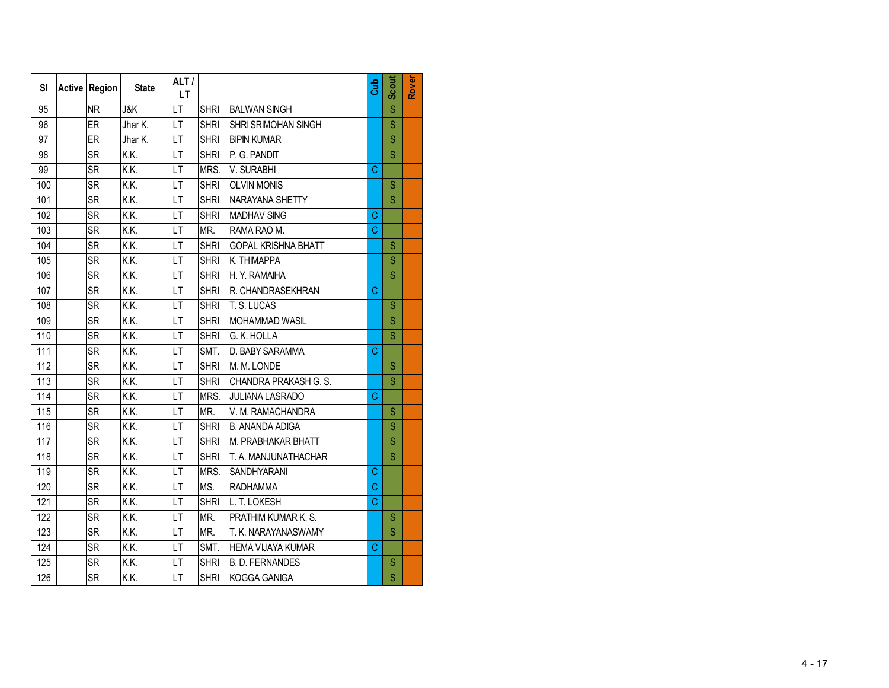| SI  | Active Region | <b>State</b>   | ALT/<br><b>LT</b> |             |                            | Gub | Scout                   | Rover |
|-----|---------------|----------------|-------------------|-------------|----------------------------|-----|-------------------------|-------|
| 95  | <b>NR</b>     | <b>J&amp;K</b> | LT                | <b>SHRI</b> | <b>BALWAN SINGH</b>        |     | Ś                       |       |
| 96  | ER            | Jhar K.        | LT                | <b>SHRI</b> | SHRI SRIMOHAN SINGH        |     | S                       |       |
| 97  | ER            | Jhar K.        | LT                | <b>SHRI</b> | <b>BIPIN KUMAR</b>         |     | $\overline{\mathsf{S}}$ |       |
| 98  | <b>SR</b>     | K.K.           | LT                | <b>SHRI</b> | P. G. PANDIT               |     | Ś                       |       |
| 99  | <b>SR</b>     | K.K.           | LT                | MRS.        | V. SURABHI                 | C   |                         |       |
| 100 | <b>SR</b>     | K.K.           | LT                | <b>SHRI</b> | <b>OLVIN MONIS</b>         |     | S                       |       |
| 101 | <b>SR</b>     | K.K.           | LT                | <b>SHRI</b> | NARAYANA SHETTY            |     | S                       |       |
| 102 | <b>SR</b>     | K.K.           | LT                | <b>SHRI</b> | <b>MADHAV SING</b>         | C   |                         |       |
| 103 | <b>SR</b>     | K.K.           | LT                | MR.         | RAMA RAO M.                | C   |                         |       |
| 104 | <b>SR</b>     | K.K.           | LT                | <b>SHRI</b> | <b>GOPAL KRISHNA BHATT</b> |     | S                       |       |
| 105 | SR            | K.K.           | LT                | <b>SHRI</b> | K. THIMAPPA                |     | S                       |       |
| 106 | <b>SR</b>     | K.K.           | LT                | <b>SHRI</b> | H. Y. RAMAIHA              |     | S                       |       |
| 107 | <b>SR</b>     | K.K.           | LT                | <b>SHRI</b> | R. CHANDRASEKHRAN          | C   |                         |       |
| 108 | <b>SR</b>     | K.K.           | LT                | <b>SHRI</b> | T. S. LUCAS                |     | S                       |       |
| 109 | <b>SR</b>     | K.K.           | LT                | <b>SHRI</b> | MOHAMMAD WASIL             |     | S                       |       |
| 110 | <b>SR</b>     | K.K.           | LT                | <b>SHRI</b> | G. K. HOLLA                |     | S                       |       |
| 111 | <b>SR</b>     | K.K.           | LT                | SMT.        | D. BABY SARAMMA            | C   |                         |       |
| 112 | <b>SR</b>     | K.K.           | LT                | <b>SHRI</b> | M. M. LONDE                |     | S                       |       |
| 113 | <b>SR</b>     | K.K.           | LT                | <b>SHRI</b> | CHANDRA PRAKASH G. S.      |     | S                       |       |
| 114 | <b>SR</b>     | K.K.           | LT                | MRS.        | <b>JULIANA LASRADO</b>     | C   |                         |       |
| 115 | <b>SR</b>     | K.K.           | LT                | MR.         | V. M. RAMACHANDRA          |     | S                       |       |
| 116 | <b>SR</b>     | K.K.           | LT                | <b>SHRI</b> | <b>B. ANANDA ADIGA</b>     |     | S                       |       |
| 117 | <b>SR</b>     | K.K.           | LT                | <b>SHRI</b> | M. PRABHAKAR BHATT         |     | S                       |       |
| 118 | <b>SR</b>     | K.K.           | LT                | <b>SHRI</b> | T. A. MANJUNATHACHAR       |     | Ś                       |       |
| 119 | <b>SR</b>     | K.K.           | LT                | MRS.        | SANDHYARANI                | C   |                         |       |
| 120 | <b>SR</b>     | K.K.           | LT                | MS.         | <b>RADHAMMA</b>            | C   |                         |       |
| 121 | <b>SR</b>     | K.K.           | LT                | <b>SHRI</b> | L. T. LOKESH               | C   |                         |       |
| 122 | <b>SR</b>     | K.K.           | LT                | MR.         | PRATHIM KUMAR K. S.        |     | S                       |       |
| 123 | <b>SR</b>     | K.K.           | LT                | MR.         | T. K. NARAYANASWAMY        |     | S                       |       |
| 124 | <b>SR</b>     | K.K.           | LT                | SMT.        | <b>HEMA VIJAYA KUMAR</b>   | C   |                         |       |
| 125 | <b>SR</b>     | K.K.           | LT                | <b>SHRI</b> | <b>B. D. FERNANDES</b>     |     | S                       |       |
| 126 | <b>SR</b>     | K.K.           | LT                | <b>SHRI</b> | KOGGA GANIGA               |     | Ś                       |       |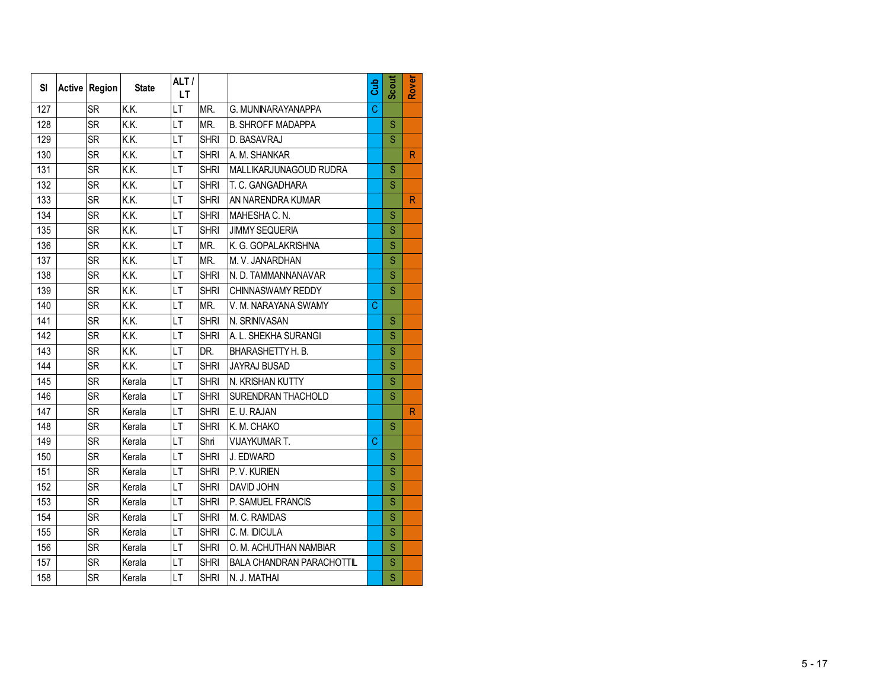| <b>SI</b> | <b>Active Region</b> | <b>State</b>   | ALT/<br>LT.     |             |                                  | Gub | Scout | Rover        |
|-----------|----------------------|----------------|-----------------|-------------|----------------------------------|-----|-------|--------------|
| 127       | <b>SR</b>            | K.K.           | LT              | MR.         | G. MUNINARAYANAPPA               | Ċ.  |       |              |
| 128       | <b>SR</b>            | K.K.           | LT              | MR.         | <b>B. SHROFF MADAPPA</b>         |     | S     |              |
| 129       | <b>SR</b>            | $\overline{K}$ | $\overline{LT}$ | <b>SHRI</b> | D. BASAVRAJ                      |     | S     |              |
| 130       | <b>SR</b>            | K.K.           | LT              | <b>SHRI</b> | A. M. SHANKAR                    |     |       | $\mathsf{R}$ |
| 131       | <b>SR</b>            | K.K.           | LT              | <b>SHRI</b> | MALLIKARJUNAGOUD RUDRA           |     | S     |              |
| 132       | <b>SR</b>            | K.K.           | LT              | <b>SHRI</b> | T. C. GANGADHARA                 |     | S     |              |
| 133       | <b>SR</b>            | K.K.           | LT              | <b>SHRI</b> | AN NARENDRA KUMAR                |     |       | $\mathsf{R}$ |
| 134       | <b>SR</b>            | K.K.           | LT              | <b>SHRI</b> | MAHESHA C. N.                    |     | S     |              |
| 135       | <b>SR</b>            | K.K.           | LT              | <b>SHRI</b> | <b>JIMMY SEQUERIA</b>            |     | S     |              |
| 136       | <b>SR</b>            | K.K.           | LT              | MR.         | K. G. GOPALAKRISHNA              |     | S     |              |
| 137       | <b>SR</b>            | K.K.           | LT              | MR.         | M. V. JANARDHAN                  |     | S     |              |
| 138       | <b>SR</b>            | K.K.           | LT              | <b>SHRI</b> | N. D. TAMMANNANAVAR              |     | Ś     |              |
| 139       | <b>SR</b>            | K.K.           | LT              | <b>SHRI</b> | CHINNASWAMY REDDY                |     | S     |              |
| 140       | <b>SR</b>            | K.K.           | LT              | MR.         | V. M. NARAYANA SWAMY             | C   |       |              |
| 141       | <b>SR</b>            | K.K.           | LT              | <b>SHRI</b> | N. SRINIVASAN                    |     | S     |              |
| 142       | SR                   | K.K.           | LT              | <b>SHRI</b> | A. L. SHEKHA SURANGI             |     | S     |              |
| 143       | <b>SR</b>            | K.K.           | LT              | DR.         | BHARASHETTY H. B.                |     | S     |              |
| 144       | <b>SR</b>            | K.K.           | LT              | <b>SHRI</b> | <b>JAYRAJ BUSAD</b>              |     | S     |              |
| 145       | <b>SR</b>            | Kerala         | LT              | <b>SHRI</b> | N. KRISHAN KUTTY                 |     | Ś     |              |
| 146       | <b>SR</b>            | Kerala         | LT              | <b>SHRI</b> | SURENDRAN THACHOLD               |     | S     |              |
| 147       | <b>SR</b>            | Kerala         | LT              | <b>SHRI</b> | E. U. RAJAN                      |     |       | R            |
| 148       | <b>SR</b>            | Kerala         | LT              | <b>SHRI</b> | K. M. CHAKO                      |     | S     |              |
| 149       | <b>SR</b>            | Kerala         | LT              | Shri        | VIJAYKUMAR T.                    | C   |       |              |
| 150       | <b>SR</b>            | Kerala         | LT              | <b>SHRI</b> | J. EDWARD                        |     | S     |              |
| 151       | <b>SR</b>            | Kerala         | LT              | <b>SHRI</b> | P.V. KURIEN                      |     | S     |              |
| 152       | <b>SR</b>            | Kerala         | LT              | <b>SHRI</b> | <b>DAVID JOHN</b>                |     | S     |              |
| 153       | <b>SR</b>            | Kerala         | LT              | <b>SHRI</b> | P. SAMUEL FRANCIS                |     | S     |              |
| 154       | <b>SR</b>            | Kerala         | LT              | <b>SHRI</b> | M. C. RAMDAS                     |     | S     |              |
| 155       | <b>SR</b>            | Kerala         | LT              | <b>SHRI</b> | C. M. IDICULA                    |     | S     |              |
| 156       | <b>SR</b>            | Kerala         | LT              | <b>SHRI</b> | O. M. ACHUTHAN NAMBIAR           |     | S     |              |
| 157       | <b>SR</b>            | Kerala         | LT              | <b>SHRI</b> | <b>BALA CHANDRAN PARACHOTTIL</b> |     | S     |              |
| 158       | <b>SR</b>            | Kerala         | LT              | <b>SHRI</b> | N. J. MATHAI                     |     | Ś     |              |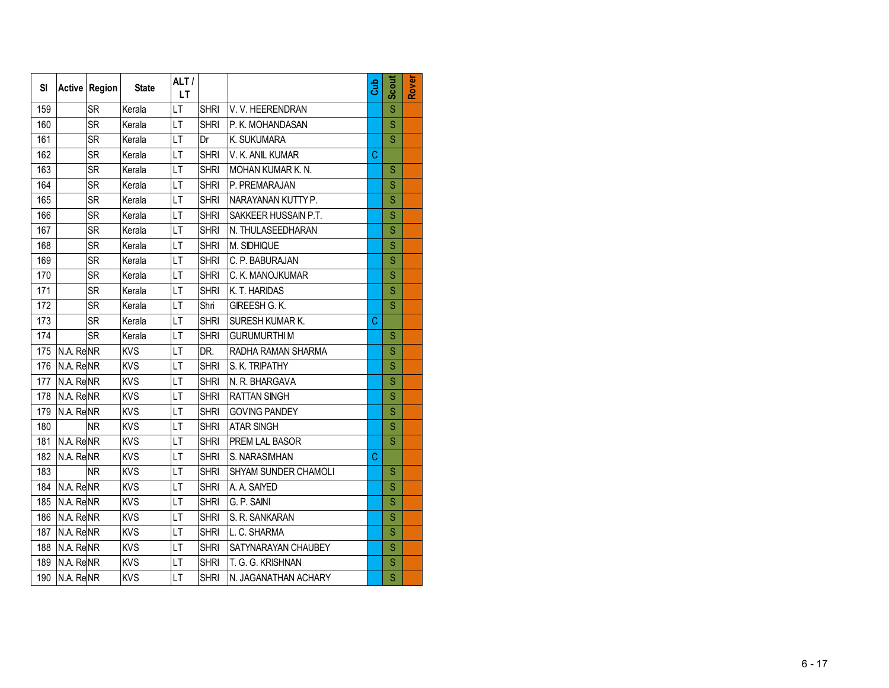| SI  |                        | Active Region | <b>State</b> | ALT/<br>LT. |             |                          | Cub         | Scout                   | Rover |
|-----|------------------------|---------------|--------------|-------------|-------------|--------------------------|-------------|-------------------------|-------|
| 159 |                        | <b>SR</b>     | Kerala       | LT          | <b>SHRI</b> | V.V. HEERENDRAN          |             | S                       |       |
| 160 |                        | <b>SR</b>     | Kerala       | LT          | <b>SHRI</b> | P. K. MOHANDASAN         |             | S                       |       |
| 161 |                        | <b>SR</b>     | Kerala       | LT          | Dr          | K. SUKUMARA              |             | $\overline{\mathbf{s}}$ |       |
| 162 |                        | <b>SR</b>     | Kerala       | LT          | <b>SHRI</b> | V. K. ANIL KUMAR         | $\mathbf C$ |                         |       |
| 163 |                        | <b>SR</b>     | Kerala       | LT          | <b>SHRI</b> | <b>MOHAN KUMAR K. N.</b> |             | S                       |       |
| 164 |                        | <b>SR</b>     | Kerala       | LT          | <b>SHRI</b> | P. PREMARAJAN            |             | S                       |       |
| 165 |                        | <b>SR</b>     | Kerala       | LT          | <b>SHRI</b> | NARAYANAN KUTTY P.       |             | S                       |       |
| 166 |                        | <b>SR</b>     | Kerala       | LT          | <b>SHRI</b> | SAKKEER HUSSAIN P.T.     |             | S                       |       |
| 167 |                        | <b>SR</b>     | Kerala       | LT          | <b>SHRI</b> | N. THULASEEDHARAN        |             | S                       |       |
| 168 |                        | <b>SR</b>     | Kerala       | LT          | <b>SHRI</b> | M. SIDHIQUE              |             | Ś                       |       |
| 169 |                        | <b>SR</b>     | Kerala       | LT          | <b>SHRI</b> | C. P. BABURAJAN          |             | S                       |       |
| 170 |                        | <b>SR</b>     | Kerala       | LT          | <b>SHRI</b> | C. K. MANOJKUMAR         |             | S                       |       |
| 171 |                        | <b>SR</b>     | Kerala       | LT          | <b>SHRI</b> | K. T. HARIDAS            |             | S                       |       |
| 172 |                        | <b>SR</b>     | Kerala       | LT          | Shri        | GIREESH G. K.            |             | S                       |       |
| 173 |                        | <b>SR</b>     | Kerala       | LT          | <b>SHRI</b> | SURESH KUMAR K.          | C           |                         |       |
| 174 |                        | <b>SR</b>     | Kerala       | LT          | <b>SHRI</b> | <b>GURUMURTHIM</b>       |             | S                       |       |
| 175 | N.A. ReNR              |               | <b>KVS</b>   | LT          | DR.         | RADHA RAMAN SHARMA       |             | S                       |       |
| 176 | N.A. ReNR              |               | <b>KVS</b>   | LT          | <b>SHRI</b> | S. K. TRIPATHY           |             | S                       |       |
| 177 | N.A. ReNR              |               | <b>KVS</b>   | LT          | <b>SHRI</b> | N. R. BHARGAVA           |             | Ś                       |       |
| 178 | N.A. ReNR              |               | <b>KVS</b>   | LT          | <b>SHRI</b> | <b>RATTAN SINGH</b>      |             | Ś                       |       |
| 179 | N.A. ReNR              |               | <b>KVS</b>   | LT          | <b>SHRI</b> | <b>GOVING PANDEY</b>     |             | S                       |       |
| 180 |                        | <b>NR</b>     | <b>KVS</b>   | LT          | <b>SHRI</b> | <b>ATAR SINGH</b>        |             | S                       |       |
| 181 | N.A. ReNR              |               | <b>KVS</b>   | LT          | <b>SHRI</b> | PREM LAL BASOR           |             | S                       |       |
| 182 | N.A. ReNR              |               | <b>KVS</b>   | LT          | <b>SHRI</b> | S. NARASIMHAN            | C           |                         |       |
| 183 |                        | <b>NR</b>     | <b>KVS</b>   | LT          | <b>SHRI</b> | SHYAM SUNDER CHAMOLI     |             | S                       |       |
| 184 | N.A. ReNR              |               | <b>KVS</b>   | LT          | <b>SHRI</b> | A. A. SAIYED             |             | S                       |       |
| 185 | N.A. ReNR              |               | <b>KVS</b>   | LT          | <b>SHRI</b> | G. P. SAINI              |             | S                       |       |
| 186 | N.A. ReNR              |               | KVS          | LT          | <b>SHRI</b> | S. R. SANKARAN           |             | S                       |       |
| 187 | N.A. ReNR              |               | <b>KVS</b>   | LT          | <b>SHRI</b> | L. C. SHARMA             |             | S                       |       |
| 188 | N.A. ReNR              |               | <b>KVS</b>   | LT          | <b>SHRI</b> | SATYNARAYAN CHAUBEY      |             | S                       |       |
| 189 | N.A. ReNR              |               | <b>KVS</b>   | LT          | <b>SHRI</b> | T. G. G. KRISHNAN        |             | S                       |       |
| 190 | $\overline{N}$ . Re NR |               | <b>KVS</b>   | LT          | <b>SHRI</b> | N. JAGANATHAN ACHARY     |             | Ś                       |       |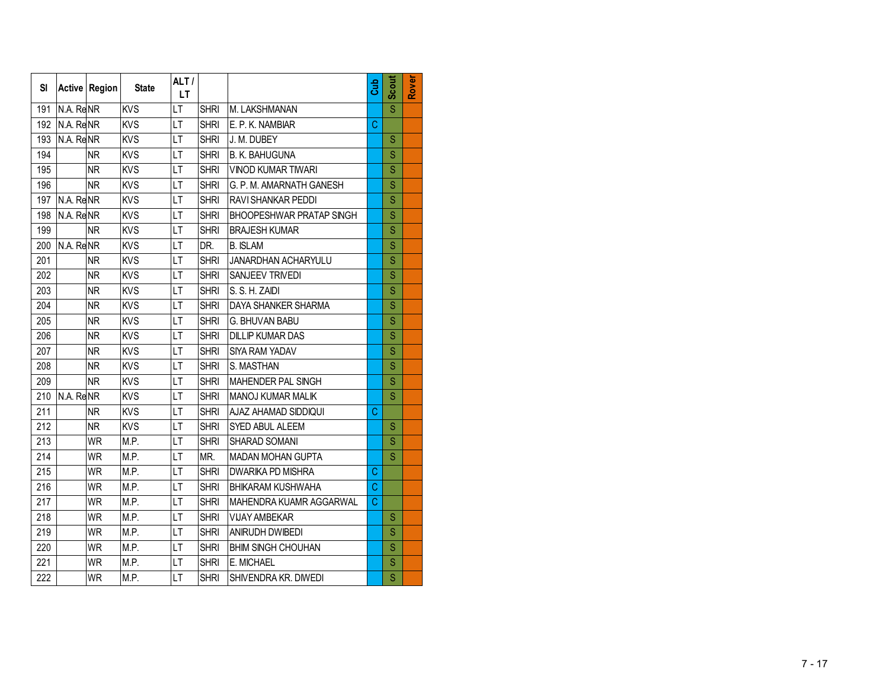| <b>SI</b>        |           | Active Region | <b>State</b> | ALT/<br>LT.              |             |                                 | Gub | Scout                   | Rover |
|------------------|-----------|---------------|--------------|--------------------------|-------------|---------------------------------|-----|-------------------------|-------|
| 191              | N.A. ReNR |               | <b>KVS</b>   | LT                       | <b>SHRI</b> | M. LAKSHMANAN                   |     | $\overline{\mathsf{s}}$ |       |
| 192              | N.A. ReNR |               | <b>KVS</b>   | LT                       | <b>SHRI</b> | E. P. K. NAMBIAR                | C   |                         |       |
| 193              | N.A. ReNR |               | <b>KVS</b>   | $\overline{\mathsf{LT}}$ | <b>SHRI</b> | J. M. DUBEY                     |     | S                       |       |
| 194              |           | <b>NR</b>     | <b>KVS</b>   | LT                       | <b>SHRI</b> | <b>B. K. BAHUGUNA</b>           |     | S                       |       |
| 195              |           | <b>NR</b>     | <b>KVS</b>   | LT                       | <b>SHRI</b> | <b>VINOD KUMAR TIWARI</b>       |     | S                       |       |
| 196              |           | <b>NR</b>     | <b>KVS</b>   | LT                       | <b>SHRI</b> | G. P. M. AMARNATH GANESH        |     | S                       |       |
| 197              | N.A. ReNR |               | <b>KVS</b>   | LT                       | <b>SHRI</b> | RAVI SHANKAR PEDDI              |     | Ś                       |       |
| 198              | N.A. ReNR |               | <b>KVS</b>   | LT                       | <b>SHRI</b> | <b>BHOOPESHWAR PRATAP SINGH</b> |     | S                       |       |
| 199              |           | <b>NR</b>     | <b>KVS</b>   | LT                       | <b>SHRI</b> | <b>BRAJESH KUMAR</b>            |     | S                       |       |
| 200              | N.A. ReNR |               | <b>KVS</b>   | LT                       | DR.         | <b>B. ISLAM</b>                 |     | S                       |       |
| 201              |           | <b>NR</b>     | <b>KVS</b>   | LT                       | <b>SHRI</b> | JANARDHAN ACHARYULU             |     | S                       |       |
| 202              |           | <b>NR</b>     | <b>KVS</b>   | LT                       | <b>SHRI</b> | SANJEEV TRIVEDI                 |     | S                       |       |
| 203              |           | <b>NR</b>     | <b>KVS</b>   | LT                       | <b>SHRI</b> | S. S. H. ZAIDI                  |     | S                       |       |
| 204              |           | <b>NR</b>     | <b>KVS</b>   | LT                       | <b>SHRI</b> | DAYA SHANKER SHARMA             |     | S                       |       |
| 205              |           | <b>NR</b>     | <b>KVS</b>   | LT                       | <b>SHRI</b> | <b>G. BHUVAN BABU</b>           |     | S                       |       |
| 206              |           | <b>NR</b>     | <b>KVS</b>   | LT                       | <b>SHRI</b> | <b>DILLIP KUMAR DAS</b>         |     | S                       |       |
| 207              |           | <b>NR</b>     | <b>KVS</b>   | LT                       | <b>SHRI</b> | SIYA RAM YADAV                  |     | S                       |       |
| 208              |           | <b>NR</b>     | <b>KVS</b>   | LT                       | <b>SHRI</b> | S. MASTHAN                      |     | S                       |       |
| 209              |           | <b>NR</b>     | <b>KVS</b>   | LT                       | <b>SHRI</b> | MAHENDER PAL SINGH              |     | S                       |       |
| 210              | N.A. ReNR |               | <b>KVS</b>   | LT                       | <b>SHRI</b> | <b>MANOJ KUMAR MALIK</b>        |     | Ś                       |       |
| 211              |           | <b>NR</b>     | <b>KVS</b>   | LT                       | <b>SHRI</b> | AJAZ AHAMAD SIDDIQUI            | C   |                         |       |
| 212              |           | <b>NR</b>     | <b>KVS</b>   | LT                       | <b>SHRI</b> | SYED ABUL ALEEM                 |     | S                       |       |
| 213              |           | <b>WR</b>     | M.P.         | LT                       | <b>SHRI</b> | SHARAD SOMANI                   |     | S                       |       |
| 214              |           | <b>WR</b>     | M.P.         | LT                       | MR.         | <b>MADAN MOHAN GUPTA</b>        |     | S                       |       |
| 215              |           | <b>WR</b>     | M.P.         | LT                       | <b>SHRI</b> | <b>DWARIKA PD MISHRA</b>        | C   |                         |       |
| 216              |           | <b>WR</b>     | M.P.         | LT                       | <b>SHRI</b> | <b>BHIKARAM KUSHWAHA</b>        | C   |                         |       |
| 217              |           | <b>WR</b>     | M.P.         | LT                       | <b>SHRI</b> | MAHENDRA KUAMR AGGARWAL         | Ć   |                         |       |
| $\overline{218}$ |           | <b>WR</b>     | M.P.         | LT                       | <b>SHRI</b> | <b>VIJAY AMBEKAR</b>            |     | S                       |       |
| 219              |           | <b>WR</b>     | M.P.         | LT                       | <b>SHRI</b> | <b>ANIRUDH DWIBEDI</b>          |     | S                       |       |
| 220              |           | <b>WR</b>     | M.P.         | LT                       | <b>SHRI</b> | <b>BHIM SINGH CHOUHAN</b>       |     | Ś                       |       |
| 221              |           | <b>WR</b>     | M.P.         | LT                       | <b>SHRI</b> | E. MICHAEL                      |     | S                       |       |
| 222              |           | <b>WR</b>     | M.P.         | LT                       | <b>SHRI</b> | SHIVENDRA KR. DIWEDI            |     | Ś                       |       |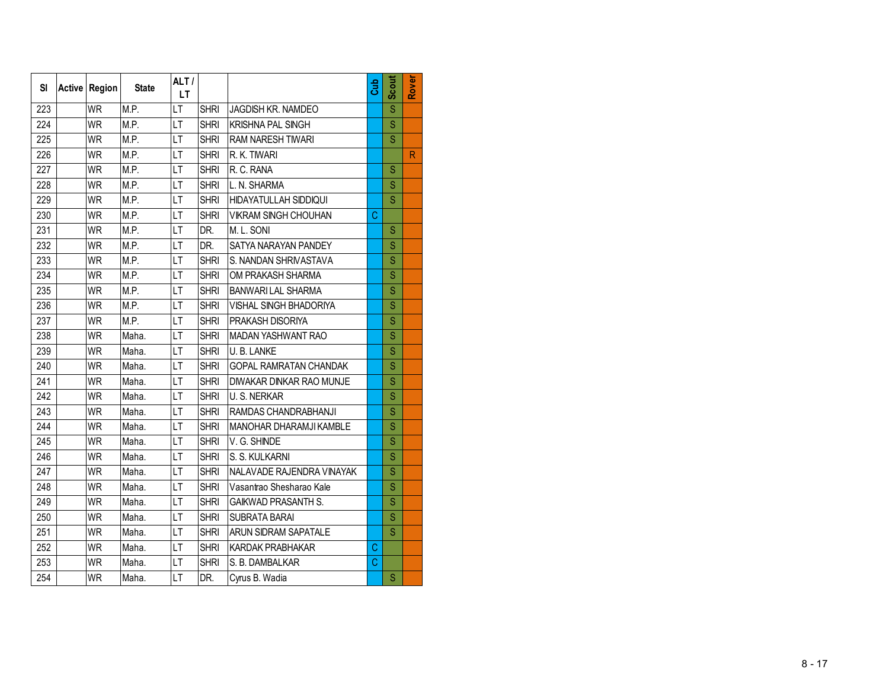| <b>SI</b> | Active Region | <b>State</b> | ALT/<br>LT.              |             |                               | Gub | Scout | Rover        |
|-----------|---------------|--------------|--------------------------|-------------|-------------------------------|-----|-------|--------------|
| 223       | <b>WR</b>     | M.P.         | LT                       | <b>SHRI</b> | JAGDISH KR. NAMDEO            |     | Ś     |              |
| 224       | <b>WR</b>     | M.P.         | LT                       | <b>SHRI</b> | <b>KRISHNA PAL SINGH</b>      |     | S     |              |
| 225       | <b>WR</b>     | M.P.         | $\overline{LT}$          | <b>SHRI</b> | RAM NARESH TIWARI             |     | Ś     |              |
| 226       | <b>WR</b>     | M.P.         | LT                       | <b>SHRI</b> | R. K. TIWARI                  |     |       | $\mathsf{R}$ |
| 227       | <b>WR</b>     | M.P.         | LT                       | <b>SHRI</b> | R. C. RANA                    |     | S     |              |
| 228       | <b>WR</b>     | M.P.         | LT                       | <b>SHRI</b> | L. N. SHARMA                  |     | S     |              |
| 229       | <b>WR</b>     | M.P.         | LT                       | <b>SHRI</b> | HIDAYATULLAH SIDDIQUI         |     | S     |              |
| 230       | <b>WR</b>     | M.P.         | LT                       | <b>SHRI</b> | <b>VIKRAM SINGH CHOUHAN</b>   | C   |       |              |
| 231       | <b>WR</b>     | M.P.         | LT                       | DR.         | M. L. SONI                    |     | S     |              |
| 232       | <b>WR</b>     | M.P.         | LT                       | DR.         | SATYA NARAYAN PANDEY          |     | S     |              |
| 233       | <b>WR</b>     | M.P.         | LT                       | <b>SHRI</b> | S. NANDAN SHRIVASTAVA         |     | S     |              |
| 234       | <b>WR</b>     | M.P.         | LT                       | <b>SHRI</b> | OM PRAKASH SHARMA             |     | S     |              |
| 235       | <b>WR</b>     | M.P.         | LT                       | <b>SHRI</b> | BANWARILAL SHARMA             |     | Ś     |              |
| 236       | <b>WR</b>     | M.P.         | LT                       | <b>SHRI</b> | <b>VISHAL SINGH BHADORIYA</b> |     | S     |              |
| 237       | <b>WR</b>     | M.P.         | LT                       | <b>SHRI</b> | PRAKASH DISORIYA              |     | S     |              |
| 238       | <b>WR</b>     | Maha.        | LT                       | <b>SHRI</b> | MADAN YASHWANT RAO            |     | S     |              |
| 239       | <b>WR</b>     | Maha.        | LT                       | <b>SHRI</b> | U.B. LANKE                    |     | Ś     |              |
| 240       | <b>WR</b>     | Maha.        | LT                       | <b>SHRI</b> | <b>GOPAL RAMRATAN CHANDAK</b> |     | S     |              |
| 241       | <b>WR</b>     | Maha.        | LT                       | <b>SHRI</b> | DIWAKAR DINKAR RAO MUNJE      |     | S     |              |
| 242       | <b>WR</b>     | Maha.        | LT                       | <b>SHRI</b> | U. S. NERKAR                  |     | S     |              |
| 243       | <b>WR</b>     | Maha.        | LT                       | <b>SHRI</b> | RAMDAS CHANDRABHANJI          |     | S     |              |
| 244       | <b>WR</b>     | Maha.        | LT                       | <b>SHRI</b> | MANOHAR DHARAMJI KAMBLE       |     | S     |              |
| 245       | <b>WR</b>     | Maha.        | LT                       | <b>SHRI</b> | V.G. SHINDE                   |     | S     |              |
| 246       | <b>WR</b>     | Maha.        | LT                       | <b>SHRI</b> | S. S. KULKARNI                |     | S     |              |
| 247       | <b>WR</b>     | Maha.        | LT                       | <b>SHRI</b> | NALAVADE RAJENDRA VINAYAK     |     | S     |              |
| 248       | <b>WR</b>     | Maha.        | LT                       | <b>SHRI</b> | Vasantrao Shesharao Kale      |     | S     |              |
| 249       | <b>WR</b>     | Maha.        | LT                       | <b>SHRI</b> | <b>GAIKWAD PRASANTH S.</b>    |     | S     |              |
| 250       | <b>WR</b>     | Maha.        | $\overline{\mathsf{LT}}$ | <b>SHRI</b> | <b>SUBRATA BARAI</b>          |     | S     |              |
| 251       | <b>WR</b>     | Maha.        | LT                       | <b>SHRI</b> | ARUN SIDRAM SAPATALE          |     | S     |              |
| 252       | <b>WR</b>     | Maha.        | LT                       | <b>SHRI</b> | KARDAK PRABHAKAR              | C   |       |              |
| 253       | <b>WR</b>     | Maha.        | LT                       | <b>SHRI</b> | S. B. DAMBALKAR               | Ċ   |       |              |
| 254       | <b>WR</b>     | Maha.        | LT                       | DR.         | Cyrus B. Wadia                |     | Ś     |              |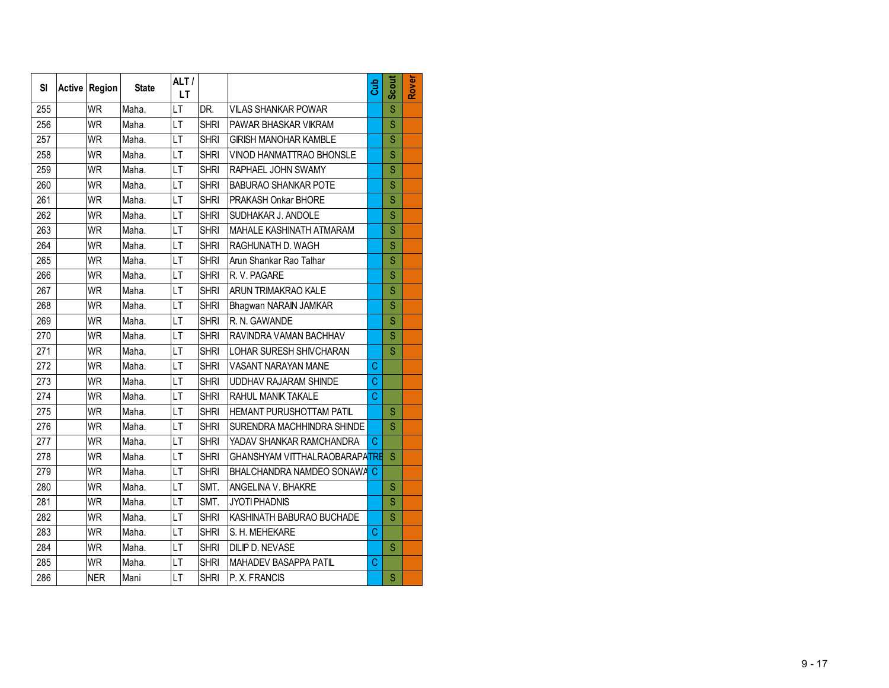| SI  | <b>Active Region</b> | <b>State</b> | ALT/<br>LТ      |             |                               | Cub | Scout | Rover |
|-----|----------------------|--------------|-----------------|-------------|-------------------------------|-----|-------|-------|
| 255 | <b>WR</b>            | Maha.        | LT              | DR.         | <b>VILAS SHANKAR POWAR</b>    |     | S     |       |
| 256 | <b>WR</b>            | Maha.        | LT              | <b>SHRI</b> | PAWAR BHASKAR VIKRAM          |     | S     |       |
| 257 | <b>WR</b>            | Maha.        | LT              | <b>SHRI</b> | <b>GIRISH MANOHAR KAMBLE</b>  |     | S     |       |
| 258 | <b>WR</b>            | Maha.        | LT              | <b>SHRI</b> | VINOD HANMATTRAO BHONSLE      |     | S     |       |
| 259 | <b>WR</b>            | Maha.        | LT              | <b>SHRI</b> | RAPHAEL JOHN SWAMY            |     | S     |       |
| 260 | <b>WR</b>            | Maha.        | LT              | <b>SHRI</b> | <b>BABURAO SHANKAR POTE</b>   |     | S     |       |
| 261 | <b>WR</b>            | Maha.        | LT              | <b>SHRI</b> | PRAKASH Onkar BHORE           |     | S     |       |
| 262 | <b>WR</b>            | Maha.        | LT              | <b>SHRI</b> | SUDHAKAR J. ANDOLE            |     | Ś     |       |
| 263 | <b>WR</b>            | Maha.        | LT              | <b>SHRI</b> | MAHALE KASHINATH ATMARAM      |     | S     |       |
| 264 | WR                   | Maha.        | LT              | <b>SHRI</b> | RAGHUNATH D. WAGH             |     | S     |       |
| 265 | <b>WR</b>            | Maha.        | LT              | <b>SHRI</b> | Arun Shankar Rao Talhar       |     | S     |       |
| 266 | <b>WR</b>            | Maha.        | LT              | <b>SHRI</b> | R.V. PAGARE                   |     | S     |       |
| 267 | <b>WR</b>            | Maha.        | LT              | <b>SHRI</b> | ARUN TRIMAKRAO KALE           |     | S     |       |
| 268 | <b>WR</b>            | Maha.        | LT              | <b>SHRI</b> | Bhagwan NARAIN JAMKAR         |     | S     |       |
| 269 | <b>WR</b>            | Maha.        | LT              | <b>SHRI</b> | R. N. GAWANDE                 |     | S     |       |
| 270 | <b>WR</b>            | Maha.        | LT              | <b>SHRI</b> | RAVINDRA VAMAN BACHHAV        |     | S     |       |
| 271 | <b>WR</b>            | Maha.        | LT              | <b>SHRI</b> | LOHAR SURESH SHIVCHARAN       |     | S     |       |
| 272 | <b>WR</b>            | Maha.        | LT              | <b>SHRI</b> | VASANT NARAYAN MANE           | C   |       |       |
| 273 | <b>WR</b>            | Maha.        | LT              | <b>SHRI</b> | <b>UDDHAV RAJARAM SHINDE</b>  | C   |       |       |
| 274 | <b>WR</b>            | Maha.        | LT              | <b>SHRI</b> | RAHUL MANIK TAKALE            | C   |       |       |
| 275 | <b>WR</b>            | Maha.        | LT              | <b>SHRI</b> | HEMANT PURUSHOTTAM PATIL      |     | S     |       |
| 276 | <b>WR</b>            | Maha.        | LT              | <b>SHRI</b> | SURENDRA MACHHINDRA SHINDE    |     | S     |       |
| 277 | <b>WR</b>            | Maha.        | LT              | <b>SHRI</b> | YADAV SHANKAR RAMCHANDRA      | C   |       |       |
| 278 | <b>WR</b>            | Maha.        | LT              | <b>SHRI</b> | GHANSHYAM VITTHALRAOBARAPATRE |     | S     |       |
| 279 | <b>WR</b>            | Maha.        | LT              | <b>SHRI</b> | BHALCHANDRA NAMDEO SONAWA     | С   |       |       |
| 280 | <b>WR</b>            | Maha.        | LT              | SMT.        | ANGELINA V. BHAKRE            |     | S     |       |
| 281 | <b>WR</b>            | Maha.        | LT              | SMT.        | <b>JYOTI PHADNIS</b>          |     | S     |       |
| 282 | <b>WR</b>            | Maha.        | $\overline{LT}$ | <b>SHRI</b> | KASHINATH BABURAO BUCHADE     |     | S     |       |
| 283 | <b>WR</b>            | Maha.        | LT              | <b>SHRI</b> | S. H. MEHEKARE                | C   |       |       |
| 284 | <b>WR</b>            | Maha.        | LT              | <b>SHRI</b> | DILIP D. NEVASE               |     | S     |       |
| 285 | <b>WR</b>            | Maha.        | LT              | <b>SHRI</b> | MAHADEV BASAPPA PATIL         | C   |       |       |
| 286 | <b>NER</b>           | Mani         | LT              | <b>SHRI</b> | P. X. FRANCIS                 |     | S     |       |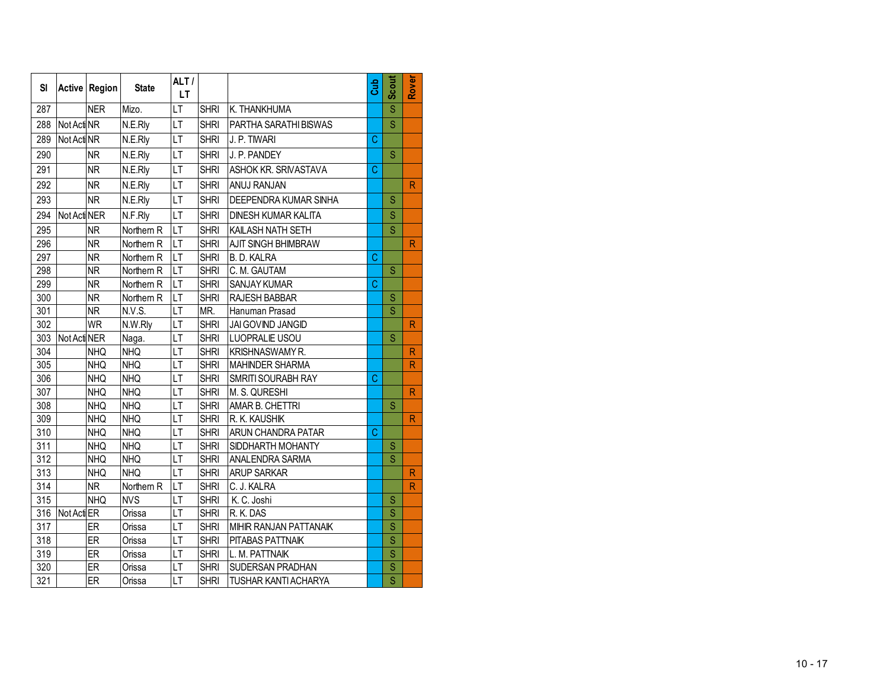| SI  |              | Active Region | <b>State</b> | ALT/<br><b>LT</b>        |             |                             | Cub | <b>Scout</b>            | Rover                   |
|-----|--------------|---------------|--------------|--------------------------|-------------|-----------------------------|-----|-------------------------|-------------------------|
| 287 |              | <b>NER</b>    | Mizo.        | LT                       | <b>SHRI</b> | K. THANKHUMA                |     | $\overline{\mathsf{s}}$ |                         |
| 288 | Not Acti NR  |               | N.E.Rly      | īт                       | <b>SHRI</b> | PARTHA SARATHI BISWAS       |     | S                       |                         |
| 289 | Not Acti NR  |               | N.E.Rly      | $\overline{\mathsf{LT}}$ | <b>SHRI</b> | J. P. TIWARI                | C   |                         |                         |
| 290 |              | <b>NR</b>     | N.E.Rly      | LT                       | <b>SHRI</b> | J. P. PANDEY                |     | S                       |                         |
| 291 |              | <b>NR</b>     | N.E.Rly      | LT                       | <b>SHRI</b> | ASHOK KR. SRIVASTAVA        | C   |                         |                         |
| 292 |              | <b>NR</b>     | N.E.Rly      | LT                       | <b>SHRI</b> | ANUJ RANJAN                 |     |                         | R                       |
| 293 |              | <b>NR</b>     | N.E.Rly      | LT                       | <b>SHRI</b> | DEEPENDRA KUMAR SINHA       |     | S                       |                         |
| 294 | Not Acti NER |               | N.F.Rly      | LT                       | <b>SHRI</b> | <b>DINESH KUMAR KALITA</b>  |     | S                       |                         |
| 295 |              | <b>NR</b>     | Northern R   | LT                       | <b>SHRI</b> | KAILASH NATH SETH           |     | S                       |                         |
| 296 |              | <b>NR</b>     | Northern R   | LT                       | <b>SHRI</b> | AJIT SINGH BHIMBRAW         |     |                         | $\mathsf{R}$            |
| 297 |              | <b>NR</b>     | Northern R   | LT                       | <b>SHRI</b> | <b>B. D. KALRA</b>          | C   |                         |                         |
| 298 |              | <b>NR</b>     | Northern R   | LT                       | <b>SHRI</b> | C. M. GAUTAM                |     | S                       |                         |
| 299 |              | <b>NR</b>     | Northern R   | LT                       | <b>SHRI</b> | <b>SANJAY KUMAR</b>         | Ć   |                         |                         |
| 300 |              | <b>NR</b>     | Northern R   | LT                       | <b>SHRI</b> | RAJESH BABBAR               |     | S                       |                         |
| 301 |              | <b>NR</b>     | N.V.S.       | LT                       | MR.         | Hanuman Prasad              |     | S                       |                         |
| 302 |              | <b>WR</b>     | N.W.Rly      | LT                       | <b>SHRI</b> | JAI GOVIND JANGID           |     |                         | R                       |
| 303 | Not Acti NER |               | Naga.        | LT                       | <b>SHRI</b> | LUOPRALIE USOU              |     | S                       |                         |
| 304 |              | <b>NHQ</b>    | <b>NHQ</b>   | LT                       | <b>SHRI</b> | KRISHNASWAMY R.             |     |                         | $\overline{\mathsf{R}}$ |
| 305 |              | <b>NHQ</b>    | <b>NHQ</b>   | LT                       | <b>SHRI</b> | <b>MAHINDER SHARMA</b>      |     |                         | R                       |
| 306 |              | <b>NHQ</b>    | <b>NHQ</b>   | LT                       | <b>SHRI</b> | SMRITI SOURABH RAY          | C   |                         |                         |
| 307 |              | <b>NHQ</b>    | <b>NHQ</b>   | LT                       | <b>SHRI</b> | M. S. QURESHI               |     |                         | R                       |
| 308 |              | <b>NHQ</b>    | <b>NHQ</b>   | LT                       | <b>SHRI</b> | AMAR B. CHETTRI             |     | S                       |                         |
| 309 |              | <b>NHQ</b>    | <b>NHQ</b>   | LT                       | <b>SHRI</b> | R. K. KAUSHIK               |     |                         | $\mathsf{R}$            |
| 310 |              | <b>NHQ</b>    | <b>NHQ</b>   | LT                       | <b>SHRI</b> | ARUN CHANDRA PATAR          | C   |                         |                         |
| 311 |              | <b>NHQ</b>    | <b>NHQ</b>   | LT                       | <b>SHRI</b> | SIDDHARTH MOHANTY           |     | S                       |                         |
| 312 |              | <b>NHQ</b>    | <b>NHQ</b>   | LT                       | <b>SHRI</b> | ANALENDRA SARMA             |     | S                       |                         |
| 313 |              | <b>NHQ</b>    | <b>NHQ</b>   | LT                       | <b>SHRI</b> | <b>ARUP SARKAR</b>          |     |                         | $\mathsf{R}$            |
| 314 |              | <b>NR</b>     | Northern R   | LT                       | <b>SHRI</b> | C. J. KALRA                 |     |                         | R                       |
| 315 |              | <b>NHQ</b>    | <b>NVS</b>   | LT                       | <b>SHRI</b> | K. C. Joshi                 |     | S                       |                         |
| 316 | Not Acti ER  |               | Orissa       | LT                       | <b>SHRI</b> | R.K.DAS                     |     | S                       |                         |
| 317 |              | ER            | Orissa       | LT                       | <b>SHRI</b> | MIHIR RANJAN PATTANAIK      |     | $\overline{\mathbf{S}}$ |                         |
| 318 |              | ER            | Orissa       | LT                       | <b>SHRI</b> | PITABAS PATTNAIK            |     | S                       |                         |
| 319 |              | ER            | Orissa       | LT                       | <b>SHRI</b> | L. M. PATTNAIK              |     | $\overline{\mathsf{s}}$ |                         |
| 320 |              | ER            | Orissa       | LT                       | <b>SHRI</b> | SUDERSAN PRADHAN            |     | S                       |                         |
| 321 |              | ER            | Orissa       | LT                       | <b>SHRI</b> | <b>TUSHAR KANTI ACHARYA</b> |     | $\overline{\mathsf{s}}$ |                         |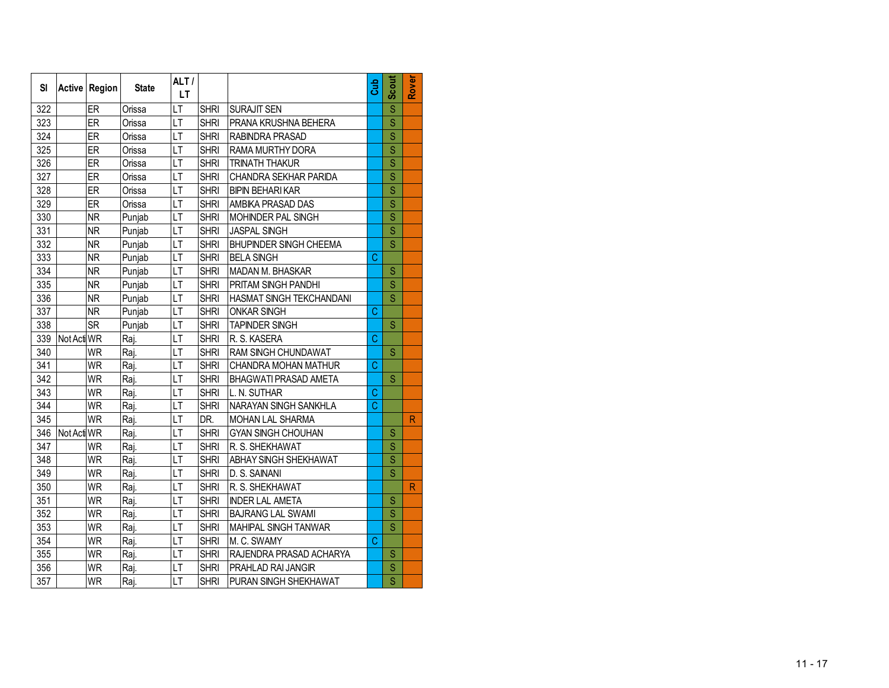| SI  |             | Active Region | <b>State</b> | ALT/<br><b>LT</b> |             |                               | Gub | <b>Scout</b>            | Rover |
|-----|-------------|---------------|--------------|-------------------|-------------|-------------------------------|-----|-------------------------|-------|
| 322 |             | ER            | Orissa       | LT                | <b>SHRI</b> | SURAJIT SEN                   |     | Ś                       |       |
| 323 |             | ER            | Orissa       | LT                | <b>SHRI</b> | PRANA KRUSHNA BEHERA          |     | S                       |       |
| 324 |             | ER            | Orissa       | LT                | <b>SHRI</b> | <b>RABINDRA PRASAD</b>        |     | Ś                       |       |
| 325 |             | ER            | Orissa       | LT                | <b>SHRI</b> | RAMA MURTHY DORA              |     | Ś                       |       |
| 326 |             | ER            | Orissa       | LT                | <b>SHRI</b> | <b>TRINATH THAKUR</b>         |     | Ś                       |       |
| 327 |             | ER            | Orissa       | LT                | <b>SHRI</b> | <b>CHANDRA SEKHAR PARIDA</b>  |     | S                       |       |
| 328 |             | ER            | Orissa       | LT                | <b>SHRI</b> | BIPIN BEHARI KAR              |     | Ś                       |       |
| 329 |             | ER            | Orissa       | LT                | <b>SHRI</b> | AMBIKA PRASAD DAS             |     | S                       |       |
| 330 |             | <b>NR</b>     | Punjab       | LT                | <b>SHRI</b> | <b>MOHINDER PAL SINGH</b>     |     | Ś                       |       |
| 331 |             | <b>NR</b>     | Punjab       | LT                | <b>SHRI</b> | <b>JASPAL SINGH</b>           |     | Ś                       |       |
| 332 |             | <b>NR</b>     | Punjab       | LT                | <b>SHRI</b> | <b>BHUPINDER SINGH CHEEMA</b> |     | $\overline{\mathsf{s}}$ |       |
| 333 |             | <b>NR</b>     | Punjab       | LT                | <b>SHRI</b> | <b>BELA SINGH</b>             | Ć   |                         |       |
| 334 |             | <b>NR</b>     | Punjab       | LT                | <b>SHRI</b> | MADAN M. BHASKAR              |     | Ś                       |       |
| 335 |             | <b>NR</b>     | Punjab       | $\overline{LT}$   | <b>SHRI</b> | PRITAM SINGH PANDHI           |     | Ś                       |       |
| 336 |             | <b>NR</b>     | Punjab       | LT                | <b>SHRI</b> | HASMAT SINGH TEKCHANDANI      |     | Ś                       |       |
| 337 |             | <b>NR</b>     | Punjab       | LT                | <b>SHRI</b> | <b>ONKAR SINGH</b>            | C   |                         |       |
| 338 |             | <b>SR</b>     | Punjab       | LT                | <b>SHRI</b> | <b>TAPINDER SINGH</b>         |     | Ś                       |       |
| 339 | Not Acti WR |               | Raj.         | LT                | <b>SHRI</b> | R. S. KASERA                  | Ċ   |                         |       |
| 340 |             | <b>WR</b>     | Raj.         | LT                | <b>SHRI</b> | RAM SINGH CHUNDAWAT           |     | S                       |       |
| 341 |             | <b>WR</b>     | Raj.         | LT                | <b>SHRI</b> | CHANDRA MOHAN MATHUR          | C   |                         |       |
| 342 |             | <b>WR</b>     | Raj.         | LT                | <b>SHRI</b> | BHAGWATI PRASAD AMETA         |     | S                       |       |
| 343 |             | <b>WR</b>     | Raj.         | LT                | <b>SHRI</b> | L. N. SUTHAR                  | C   |                         |       |
| 344 |             | <b>WR</b>     | Raj.         | LT                | <b>SHRI</b> | NARAYAN SINGH SANKHLA         | Ć   |                         |       |
| 345 |             | <b>WR</b>     | Raj.         | LT                | DR.         | MOHAN LAL SHARMA              |     |                         | R     |
| 346 | Not Acti WR |               | Raj.         | LT                | <b>SHRI</b> | <b>GYAN SINGH CHOUHAN</b>     |     | S                       |       |
| 347 |             | <b>WR</b>     | Raj.         | LT                | <b>SHRI</b> | R. S. SHEKHAWAT               |     | S                       |       |
| 348 |             | <b>WR</b>     | Raj.         | LT                | <b>SHRI</b> | ABHAY SINGH SHEKHAWAT         |     | S                       |       |
| 349 |             | <b>WR</b>     | Raj.         | LT                | <b>SHRI</b> | D. S. SAINANI                 |     | Ś                       |       |
| 350 |             | <b>WR</b>     | Rai.         | LT                | <b>SHRI</b> | R. S. SHEKHAWAT               |     |                         | R     |
| 351 |             | WR            | Raj.         | LT                | <b>SHRI</b> | <b>INDER LAL AMETA</b>        |     | S                       |       |
| 352 |             | <b>WR</b>     | Raj.         | LT                | <b>SHRI</b> | <b>BAJRANG LAL SWAMI</b>      |     | Ś                       |       |
| 353 |             | <b>WR</b>     | Raj.         | LT                | <b>SHRI</b> | MAHIPAL SINGH TANWAR          |     | Ś                       |       |
| 354 |             | <b>WR</b>     | Raj.         | LT                | <b>SHRI</b> | M. C. SWAMY                   | C   |                         |       |
| 355 |             | <b>WR</b>     | Raj.         | LT                | <b>SHRI</b> | RAJENDRA PRASAD ACHARYA       |     | S                       |       |
| 356 |             | <b>WR</b>     | Raj.         | LT                | <b>SHRI</b> | PRAHLAD RAI JANGIR            |     | Ś                       |       |
| 357 |             | <b>WR</b>     | Raj.         | LT                | <b>SHRI</b> | PURAN SINGH SHEKHAWAT         |     | $\overline{\mathsf{s}}$ |       |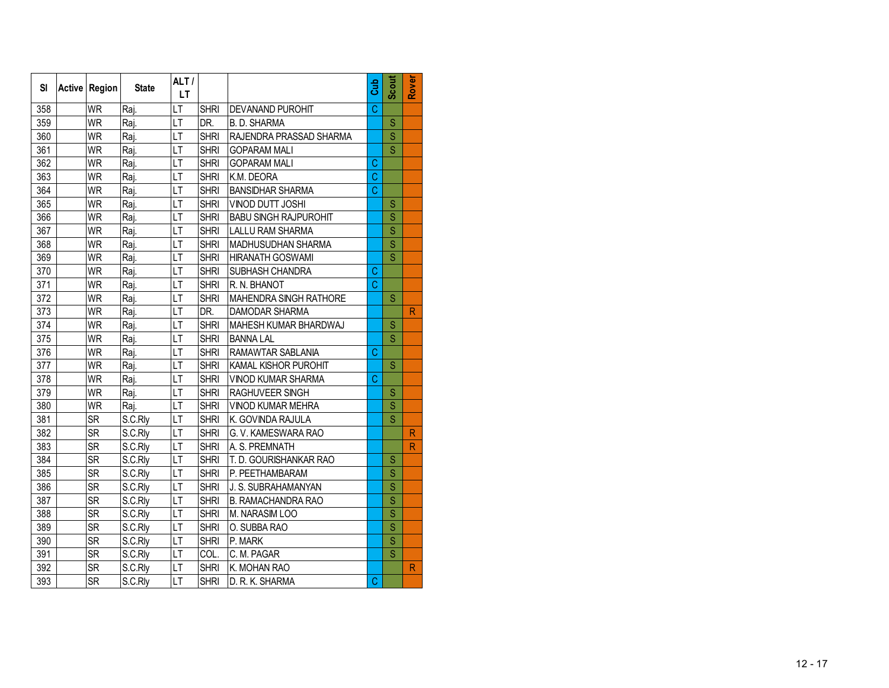| SI  | Active Region | <b>State</b> | ALT/<br><b>LT</b> |             |                              | Cub            | Scout                   | Rover                   |
|-----|---------------|--------------|-------------------|-------------|------------------------------|----------------|-------------------------|-------------------------|
| 358 | <b>WR</b>     | Raj.         | LT                | <b>SHRI</b> | <b>DEVANAND PUROHIT</b>      | $\overline{C}$ |                         |                         |
| 359 | <b>WR</b>     | Raj.         | LT                | DR.         | <b>B. D. SHARMA</b>          |                | S                       |                         |
| 360 | <b>WR</b>     | Raj.         | LT                | <b>SHRI</b> | RAJENDRA PRASSAD SHARMA      |                | S                       |                         |
| 361 | <b>WR</b>     | Raj.         | LT                | <b>SHRI</b> | <b>GOPARAM MALI</b>          |                | S                       |                         |
| 362 | <b>WR</b>     | Raj.         | LT                | <b>SHRI</b> | <b>GOPARAM MALI</b>          | С              |                         |                         |
| 363 | <b>WR</b>     | Raj.         | LT                | <b>SHRI</b> | K.M. DEORA                   | Ċ              |                         |                         |
| 364 | WR            | Raj.         | LT                | <b>SHRI</b> | <b>BANSIDHAR SHARMA</b>      | Ċ              |                         |                         |
| 365 | <b>WR</b>     | Raj.         | LT                | <b>SHRI</b> | VINOD DUTT JOSHI             |                | S                       |                         |
| 366 | <b>WR</b>     | Raj.         | LT                | <b>SHRI</b> | <b>BABU SINGH RAJPUROHIT</b> |                | S                       |                         |
| 367 | <b>WR</b>     | Raj.         | LT                | <b>SHRI</b> | <b>LALLU RAM SHARMA</b>      |                | $\overline{\mathsf{S}}$ |                         |
| 368 | <b>WR</b>     | Raj.         | LT                | <b>SHRI</b> | MADHUSUDHAN SHARMA           |                | $\overline{\mathsf{S}}$ |                         |
| 369 | <b>WR</b>     | Raj.         | LT                | <b>SHRI</b> | <b>HIRANATH GOSWAMI</b>      |                | $\overline{\mathsf{s}}$ |                         |
| 370 | <b>WR</b>     | Raj.         | LT                | <b>SHRI</b> | SUBHASH CHANDRA              | $\mathbf C$    |                         |                         |
| 371 | <b>WR</b>     | Raj.         | LT                | <b>SHRI</b> | R. N. BHANOT                 | $\overline{C}$ |                         |                         |
| 372 | <b>WR</b>     | Raj.         | LT                | <b>SHRI</b> | MAHENDRA SINGH RATHORE       |                | S                       |                         |
| 373 | <b>WR</b>     | Raj.         | LT                | DR.         | <b>DAMODAR SHARMA</b>        |                |                         | $\overline{\mathsf{R}}$ |
| 374 | <b>WR</b>     | Raj.         | LT                | <b>SHRI</b> | MAHESH KUMAR BHARDWAJ        |                | S                       |                         |
| 375 | <b>WR</b>     | Raj.         | LT                | <b>SHRI</b> | <b>BANNA LAL</b>             |                | S                       |                         |
| 376 | <b>WR</b>     | Raj.         | LT                | <b>SHRI</b> | RAMAWTAR SABLANIA            | C              |                         |                         |
| 377 | <b>WR</b>     | Raj.         | LT                | <b>SHRI</b> | KAMAL KISHOR PUROHIT         |                | S                       |                         |
| 378 | <b>WR</b>     | Raj.         | LT                | <b>SHRI</b> | VINOD KUMAR SHARMA           | C              |                         |                         |
| 379 | <b>WR</b>     | Raj.         | LT                | <b>SHRI</b> | RAGHUVEER SINGH              |                | S                       |                         |
| 380 | <b>WR</b>     | Raj.         | LT                | <b>SHRI</b> | VINOD KUMAR MEHRA            |                | Ś                       |                         |
| 381 | <b>SR</b>     | S.C.Rly      | LT                | <b>SHRI</b> | K. GOVINDA RAJULA            |                | Ś                       |                         |
| 382 | <b>SR</b>     | S.C.Rly      | LT                | <b>SHRI</b> | G. V. KAMESWARA RAO          |                |                         | R                       |
| 383 | <b>SR</b>     | S.C.Rly      | LT                | <b>SHRI</b> | A. S. PREMNATH               |                |                         | $\mathsf{R}$            |
| 384 | <b>SR</b>     | S.C.Rly      | LT                | <b>SHRI</b> | T. D. GOURISHANKAR RAO       |                | S                       |                         |
| 385 | <b>SR</b>     | S.C.Rly      | LT                | <b>SHRI</b> | P. PEETHAMBARAM              |                | S                       |                         |
| 386 | <b>SR</b>     | S.C.Rly      | LT                | <b>SHRI</b> | J. S. SUBRAHAMANYAN          |                | Ś                       |                         |
| 387 | <b>SR</b>     | S.C.Rly      | LT                | <b>SHRI</b> | B. RAMACHANDRA RAO           |                | S                       |                         |
| 388 | <b>SR</b>     | S.C.Rly      | LT                | <b>SHRI</b> | M. NARASIM LOO               |                | $\overline{\mathsf{S}}$ |                         |
| 389 | <b>SR</b>     | S.C.Rly      | LT                | <b>SHRI</b> | O. SUBBA RAO                 |                | $\overline{\mathsf{s}}$ |                         |
| 390 | <b>SR</b>     | S.C.Rly      | LT                | <b>SHRI</b> | P. MARK                      |                | Ś                       |                         |
| 391 | <b>SR</b>     | S.C.Rly      | LT                | COL.        | C. M. PAGAR                  |                | $\overline{\mathsf{s}}$ |                         |
| 392 | <b>SR</b>     | S.C.Rly      | LT                | <b>SHRI</b> | K. MOHAN RAO                 |                |                         | $\mathsf{R}$            |
| 393 | <b>SR</b>     | S.C.Rly      | LT                | <b>SHRI</b> | D. R. K. SHARMA              | C              |                         |                         |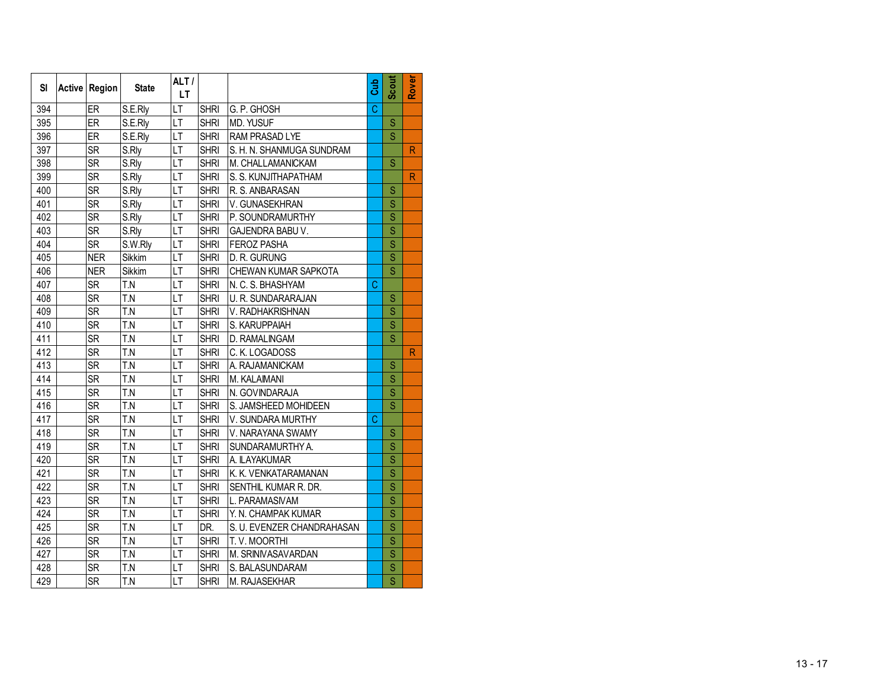| SI  | Active Region | <b>State</b>      | ALT/<br><b>LT</b> |             |                            | Cub            | <b>Scout</b>            | Rover                   |
|-----|---------------|-------------------|-------------------|-------------|----------------------------|----------------|-------------------------|-------------------------|
| 394 | ER            | S.E.Rly           | LT                | <b>SHRI</b> | G. P. GHOSH                | $\overline{C}$ |                         |                         |
| 395 | ER            | S.E.Rly           | LT                | <b>SHRI</b> | MD. YUSUF                  |                | S                       |                         |
| 396 | ER            | S.E.Rly           | LT                | <b>SHRI</b> | RAM PRASAD LYE             |                | S                       |                         |
| 397 | <b>SR</b>     | S.Rly             | LT                | <b>SHRI</b> | S. H. N. SHANMUGA SUNDRAM  |                |                         | $\overline{R}$          |
| 398 | SR            | S.Rly             | LT                | <b>SHRI</b> | M. CHALLAMANICKAM          |                | Ś                       |                         |
| 399 | <b>SR</b>     | S.Rly             | LT                | <b>SHRI</b> | S. S. KUNJITHAPATHAM       |                |                         | $\overline{\mathsf{R}}$ |
| 400 | <b>SR</b>     | S.Rly             | LT                | <b>SHRI</b> | R. S. ANBARASAN            |                | S                       |                         |
| 401 | <b>SR</b>     | S.Rly             | LT                | <b>SHRI</b> | V. GUNASEKHRAN             |                | Ś                       |                         |
| 402 | <b>SR</b>     | S.Rly             | LT                | <b>SHRI</b> | P. SOUNDRAMURTHY           |                | Ś                       |                         |
| 403 | <b>SR</b>     | S.Rly             | LT                | <b>SHRI</b> | GAJENDRA BABU V.           |                | Ś                       |                         |
| 404 | <b>SR</b>     | S.W.Rly           | LT                | <b>SHRI</b> | <b>FEROZ PASHA</b>         |                | $\overline{\mathsf{s}}$ |                         |
| 405 | <b>NER</b>    | Sikkim            | LT                | <b>SHRI</b> | D. R. GURUNG               |                | $\overline{\mathsf{S}}$ |                         |
| 406 | <b>NER</b>    | Sikkim            | LT                | <b>SHRI</b> | CHEWAN KUMAR SAPKOTA       |                | $\overline{\mathsf{s}}$ |                         |
| 407 | <b>SR</b>     | T.N               | $\overline{LT}$   | <b>SHRI</b> | N. C. S. BHASHYAM          | C              |                         |                         |
| 408 | <b>SR</b>     | $\overline{T}$ .N | LT                | <b>SHRI</b> | U. R. SUNDARARAJAN         |                | S                       |                         |
| 409 | <b>SR</b>     | T.N               | LT                | <b>SHRI</b> | V. RADHAKRISHNAN           |                | Ś                       |                         |
| 410 | <b>SR</b>     | T.N               | LT                | <b>SHRI</b> | S. KARUPPAIAH              |                | Ś                       |                         |
| 411 | <b>SR</b>     | T.N               | LT                | <b>SHRI</b> | D. RAMALINGAM              |                | Ś                       |                         |
| 412 | <b>SR</b>     | T.N               | LT                | <b>SHRI</b> | C. K. LOGADOSS             |                |                         | $\overline{R}$          |
| 413 | <b>SR</b>     | T.N               | LT                | <b>SHRI</b> | A. RAJAMANICKAM            |                | S                       |                         |
| 414 | <b>SR</b>     | T.N               | LT                | <b>SHRI</b> | M. KALAIMANI               |                | Ś                       |                         |
| 415 | <b>SR</b>     | T.N               | LT                | <b>SHRI</b> | N. GOVINDARAJA             |                | S                       |                         |
| 416 | <b>SR</b>     | T.N               | LT                | <b>SHRI</b> | S. JAMSHEED MOHIDEEN       |                | Ś                       |                         |
| 417 | <b>SR</b>     | T.N               | LT                | <b>SHRI</b> | V. SUNDARA MURTHY          | C              |                         |                         |
| 418 | <b>SR</b>     | T.N               | LT                | <b>SHRI</b> | V. NARAYANA SWAMY          |                | S                       |                         |
| 419 | <b>SR</b>     | T.N               | LT                | <b>SHRI</b> | SUNDARAMURTHY A.           |                | S                       |                         |
| 420 | <b>SR</b>     | T.N               | LT                | <b>SHRI</b> | A. ILAYAKUMAR              |                | S                       |                         |
| 421 | <b>SR</b>     | T.N               | LT                | <b>SHRI</b> | K. K. VENKATARAMANAN       |                | Ś                       |                         |
| 422 | <b>SR</b>     | T.N               | LT                | <b>SHRI</b> | SENTHIL KUMAR R. DR.       |                | S                       |                         |
| 423 | <b>SR</b>     | T.N               | LТ                | <b>SHRI</b> | L. PARAMASIVAM             |                | Ś                       |                         |
| 424 | <b>SR</b>     | T.N               | LT                | <b>SHRI</b> | Y. N. CHAMPAK KUMAR        |                | $\overline{\mathsf{S}}$ |                         |
| 425 | <b>SR</b>     | T.N               | LT                | DR.         | S. U. EVENZER CHANDRAHASAN |                | Ś                       |                         |
| 426 | <b>SR</b>     | T.N               | LT                | <b>SHRI</b> | T.V. MOORTHI               |                | $\overline{\mathsf{S}}$ |                         |
| 427 | <b>SR</b>     | T.N               | LT                | <b>SHRI</b> | M. SRINIVASAVARDAN         |                | $\overline{\mathsf{s}}$ |                         |
| 428 | <b>SR</b>     | T.N               | LT                | <b>SHRI</b> | S. BALASUNDARAM            |                | Ś                       |                         |
| 429 | <b>SR</b>     | T.N               | LT                | <b>SHRI</b> | M. RAJASEKHAR              |                | $\overline{\mathsf{s}}$ |                         |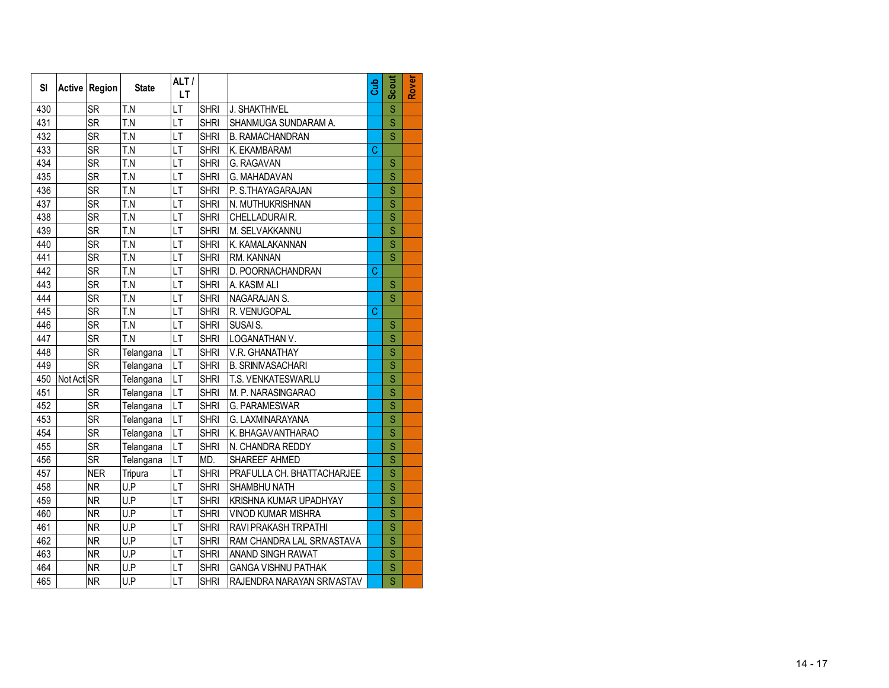| SI  |             | Active Region | <b>State</b>      | ALT/<br>LT |             |                            | Gub | <b>Scout</b>            | Rover |
|-----|-------------|---------------|-------------------|------------|-------------|----------------------------|-----|-------------------------|-------|
| 430 |             | <b>SR</b>     | T.N               | LT         | <b>SHRI</b> | J. SHAKTHIVEL              |     | Ś                       |       |
| 431 |             | <b>SR</b>     | T.N               | LT         | <b>SHRI</b> | SHANMUGA SUNDARAM A.       |     | S                       |       |
| 432 |             | <b>SR</b>     | T.N               | LT         | <b>SHRI</b> | <b>B. RAMACHANDRAN</b>     |     | S                       |       |
| 433 |             | <b>SR</b>     | T.N               | LT         | <b>SHRI</b> | K. EKAMBARAM               | C   |                         |       |
| 434 |             | <b>SR</b>     | T.N               | LT         | <b>SHRI</b> | G. RAGAVAN                 |     | S                       |       |
| 435 |             | <b>SR</b>     | T.N               | LT         | <b>SHRI</b> | G. MAHADAVAN               |     | S                       |       |
| 436 |             | <b>SR</b>     | T.N               | LT         | <b>SHRI</b> | P. S.THAYAGARAJAN          |     | S                       |       |
| 437 |             | <b>SR</b>     | T.N               | LT         | <b>SHRI</b> | N. MUTHUKRISHNAN           |     | S                       |       |
| 438 |             | <b>SR</b>     | T.N               | LТ         | <b>SHRI</b> | CHELLADURAIR.              |     | Ś                       |       |
| 439 |             | <b>SR</b>     | T.N               | LT         | <b>SHRI</b> | M. SELVAKKANNU             |     | S                       |       |
| 440 |             | <b>SR</b>     | T.N               | LT         | <b>SHRI</b> | K. KAMALAKANNAN            |     | Ś                       |       |
| 441 |             | <b>SR</b>     | T.N               | LT         | <b>SHRI</b> | RM. KANNAN                 |     | Ś                       |       |
| 442 |             | <b>SR</b>     | T.N               | LT         | <b>SHRI</b> | D. POORNACHANDRAN          | C   |                         |       |
| 443 |             | <b>SR</b>     | T.N               | LT         | <b>SHRI</b> | A. KASIM ALI               |     | S                       |       |
| 444 |             | <b>SR</b>     | T.N               | LT         | <b>SHRI</b> | NAGARAJAN S.               |     | Ś                       |       |
| 445 |             | <b>SR</b>     | $\overline{T}$ .N | LT         | <b>SHRI</b> | R. VENUGOPAL               | C   |                         |       |
| 446 |             | <b>SR</b>     | $\overline{T.N}$  | LT         | <b>SHRI</b> | SUSAI S.                   |     | S                       |       |
| 447 |             | <b>SR</b>     | T.N               | LT         | <b>SHRI</b> | LOGANATHAN V.              |     | Ś                       |       |
| 448 |             | <b>SR</b>     | Telangana         | LT         | <b>SHRI</b> | V.R. GHANATHAY             |     | Ś                       |       |
| 449 |             | <b>SR</b>     | Telangana         | LT         | <b>SHRI</b> | <b>B. SRINIVASACHARI</b>   |     | S                       |       |
| 450 | Not Acti SR |               | Telangana         | LT         | <b>SHRI</b> | T.S. VENKATESWARLU         |     | Ś                       |       |
| 451 |             | <b>SR</b>     | Telangana         | LT         | <b>SHRI</b> | M. P. NARASINGARAO         |     | Ś                       |       |
| 452 |             | <b>SR</b>     | Telangana         | LT         | <b>SHRI</b> | G. PARAMESWAR              |     | Ś                       |       |
| 453 |             | <b>SR</b>     | Telangana         | LT         | <b>SHRI</b> | G. LAXMINARAYANA           |     | Ś                       |       |
| 454 |             | <b>SR</b>     | Telangana         | LT         | <b>SHRI</b> | K. BHAGAVANTHARAO          |     | Ś                       |       |
| 455 |             | <b>SR</b>     | Telangana         | LT         | <b>SHRI</b> | N. CHANDRA REDDY           |     | Ś                       |       |
| 456 |             | <b>SR</b>     | Telangana         | LT         | MD.         | SHAREEF AHMED              |     | Ś                       |       |
| 457 |             | <b>NER</b>    | Tripura           | LT         | <b>SHRI</b> | PRAFULLA CH. BHATTACHARJEE |     | S                       |       |
| 458 |             | <b>NR</b>     | U.P               | LT         | <b>SHRI</b> | SHAMBHU NATH               |     | S                       |       |
| 459 |             | <b>NR</b>     | U.P               | LT         | <b>SHRI</b> | KRISHNA KUMAR UPADHYAY     |     | S                       |       |
| 460 |             | <b>NR</b>     | U.P               | LT         | <b>SHRI</b> | VINOD KUMAR MISHRA         |     | S                       |       |
| 461 |             | <b>NR</b>     | U.P               | LT         | <b>SHRI</b> | RAVI PRAKASH TRIPATHI      |     | S                       |       |
| 462 |             | <b>NR</b>     | U.P               | LТ         | <b>SHRI</b> | RAM CHANDRA LAL SRIVASTAVA |     | $\overline{\mathsf{S}}$ |       |
| 463 |             | <b>NR</b>     | U.P               | LT         | <b>SHRI</b> | ANAND SINGH RAWAT          |     | Ś                       |       |
| 464 |             | <b>NR</b>     | U.P               | LT         | <b>SHRI</b> | <b>GANGA VISHNU PATHAK</b> |     | Ś                       |       |
| 465 |             | <b>NR</b>     | U.P               | LT         | <b>SHRI</b> | RAJENDRA NARAYAN SRIVASTAV |     | $\overline{\mathsf{s}}$ |       |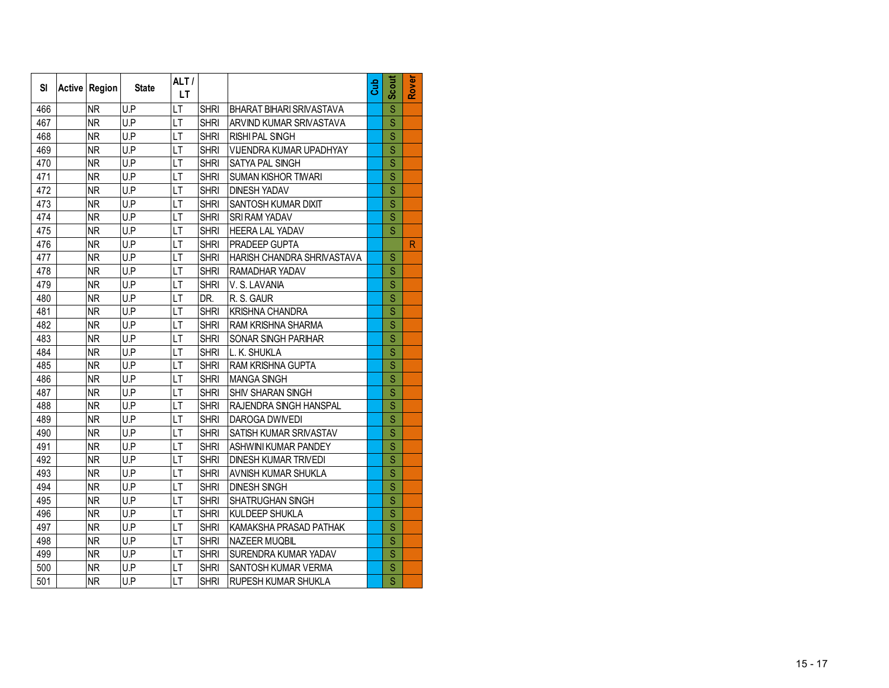| SI  | Active Region | <b>State</b> | ALT/<br>LT |             |                             | Gub | <b>Scout</b>            | Rover        |
|-----|---------------|--------------|------------|-------------|-----------------------------|-----|-------------------------|--------------|
| 466 | <b>NR</b>     | U.P          | LT         | <b>SHRI</b> | BHARAT BIHARI SRIVASTAVA    |     | Ś                       |              |
| 467 | <b>NR</b>     | U.P          | LT         | <b>SHRI</b> | ARVIND KUMAR SRIVASTAVA     |     | S                       |              |
| 468 | <b>NR</b>     | U.P          | LT         | <b>SHRI</b> | <b>RISHI PAL SINGH</b>      |     | S                       |              |
| 469 | <b>NR</b>     | U.P          | LT         | <b>SHRI</b> | VIJENDRA KUMAR UPADHYAY     |     | Ś                       |              |
| 470 | <b>NR</b>     | U.P          | LT         | <b>SHRI</b> | SATYA PAL SINGH             |     | S                       |              |
| 471 | <b>NR</b>     | U.P          | LT         | <b>SHRI</b> | <b>SUMAN KISHOR TIWARI</b>  |     | S                       |              |
| 472 | <b>NR</b>     | U.P          | LT         | <b>SHRI</b> | <b>DINESH YADAV</b>         |     | S                       |              |
| 473 | <b>NR</b>     | U.P          | LT         | <b>SHRI</b> | SANTOSH KUMAR DIXIT         |     | S                       |              |
| 474 | <b>NR</b>     | U.P          | LT         | <b>SHRI</b> | <b>SRI RAM YADAV</b>        |     | $\overline{\mathsf{S}}$ |              |
| 475 | <b>NR</b>     | U.P          | LT         | <b>SHRI</b> | <b>HEERA LAL YADAV</b>      |     | S                       |              |
| 476 | <b>NR</b>     | U.P          | LT         | <b>SHRI</b> | PRADEEP GUPTA               |     |                         | $\mathsf{R}$ |
| 477 | <b>NR</b>     | U.P          | LT         | <b>SHRI</b> | HARISH CHANDRA SHRIVASTAVA  |     | S                       |              |
| 478 | <b>NR</b>     | U.P          | LT         | <b>SHRI</b> | RAMADHAR YADAV              |     | S                       |              |
| 479 | <b>NR</b>     | U.P          | LT         | <b>SHRI</b> | V.S. LAVANIA                |     | Ś                       |              |
| 480 | <b>NR</b>     | U.P          | LT         | DR.         | R. S. GAUR                  |     | Ś                       |              |
| 481 | <b>NR</b>     | U.P          | LT         | <b>SHRI</b> | <b>KRISHNA CHANDRA</b>      |     | Ś                       |              |
| 482 | <b>NR</b>     | U.P          | LT         | <b>SHRI</b> | RAM KRISHNA SHARMA          |     | S                       |              |
| 483 | <b>NR</b>     | U.P          | LT         | <b>SHRI</b> | SONAR SINGH PARIHAR         |     | Ś                       |              |
| 484 | <b>NR</b>     | U.P          | LT         | <b>SHRI</b> | L. K. SHUKLA                |     | S                       |              |
| 485 | <b>NR</b>     | U.P          | LT         | <b>SHRI</b> | <b>RAM KRISHNA GUPTA</b>    |     | S                       |              |
| 486 | <b>NR</b>     | U.P          | LT         | <b>SHRI</b> | <b>MANGA SINGH</b>          |     | Ś                       |              |
| 487 | <b>NR</b>     | U.P          | LT         | <b>SHRI</b> | SHIV SHARAN SINGH           |     | S                       |              |
| 488 | <b>NR</b>     | U.P          | LT         | <b>SHRI</b> | RAJENDRA SINGH HANSPAL      |     | Ś                       |              |
| 489 | <b>NR</b>     | U.P          | LT         | <b>SHRI</b> | DAROGA DWIVEDI              |     | Ś                       |              |
| 490 | <b>NR</b>     | U.P          | LT         | <b>SHRI</b> | SATISH KUMAR SRIVASTAV      |     | S                       |              |
| 491 | <b>NR</b>     | U.P          | LT         | <b>SHRI</b> | ASHWINI KUMAR PANDEY        |     | Ś                       |              |
| 492 | <b>NR</b>     | U.P          | LT         | <b>SHRI</b> | <b>DINESH KUMAR TRIVEDI</b> |     | S                       |              |
| 493 | <b>NR</b>     | U.P          | LT         | <b>SHRI</b> | AVNISH KUMAR SHUKLA         |     | S                       |              |
| 494 | <b>NR</b>     | U.P          | LT         | <b>SHRI</b> | <b>DINESH SINGH</b>         |     | S                       |              |
| 495 | <b>NR</b>     | U.P          | LT         | <b>SHRI</b> | <b>SHATRUGHAN SINGH</b>     |     | S                       |              |
| 496 | <b>NR</b>     | U.P          | LT         | <b>SHRI</b> | KULDEEP SHUKLA              |     | Ś                       |              |
| 497 | <b>NR</b>     | U.P          | LT         | <b>SHRI</b> | KAMAKSHA PRASAD PATHAK      |     | $\overline{\mathsf{S}}$ |              |
| 498 | <b>NR</b>     | U.P          | LT         | <b>SHRI</b> | <b>NAZEER MUQBIL</b>        |     | Ś                       |              |
| 499 | <b>NR</b>     | U.P          | LT         | <b>SHRI</b> | SURENDRA KUMAR YADAV        |     | $\overline{\mathsf{S}}$ |              |
| 500 | <b>NR</b>     | U.P          | LT         | <b>SHRI</b> | SANTOSH KUMAR VERMA         |     | $\overline{\mathsf{S}}$ |              |
| 501 | <b>NR</b>     | U.P          | LT         | <b>SHRI</b> | RUPESH KUMAR SHUKLA         |     | $\overline{\mathsf{s}}$ |              |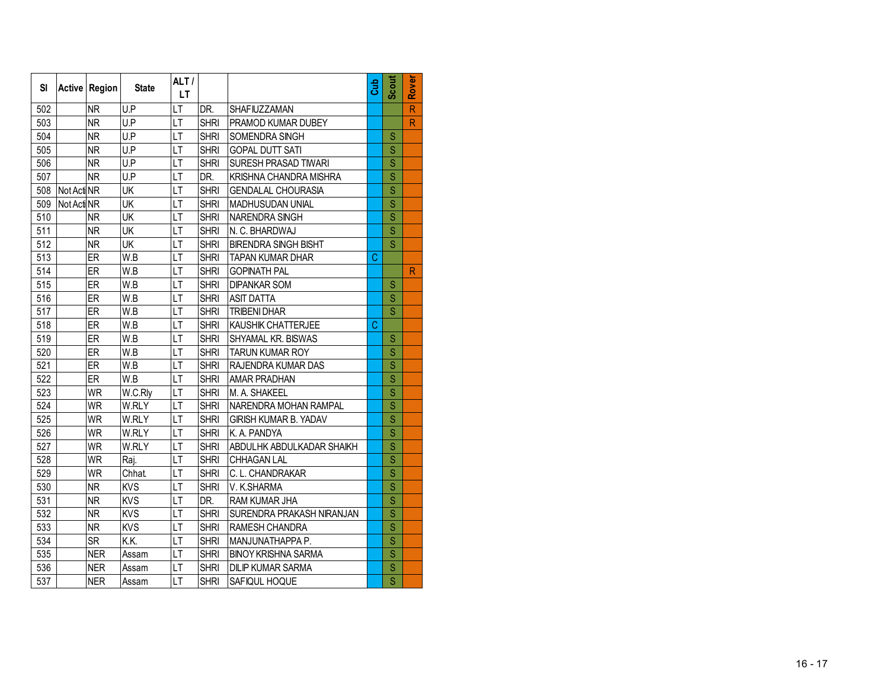| SI  |             | Active Region | <b>State</b> | ALT/<br>LT |             |                              | Gub | Scout                   | Rover                   |
|-----|-------------|---------------|--------------|------------|-------------|------------------------------|-----|-------------------------|-------------------------|
| 502 |             | <b>NR</b>     | U.P          | LT         | DR.         | SHAFIUZZAMAN                 |     |                         | $\overline{\mathsf{R}}$ |
| 503 |             | <b>NR</b>     | U.P          | LT         | <b>SHRI</b> | PRAMOD KUMAR DUBEY           |     |                         | $\mathsf{R}$            |
| 504 |             | <b>NR</b>     | U.P          | LT         | <b>SHRI</b> | SOMENDRA SINGH               |     | S                       |                         |
| 505 |             | <b>NR</b>     | U.P          | LT         | <b>SHRI</b> | <b>GOPAL DUTT SATI</b>       |     | S                       |                         |
| 506 |             | <b>NR</b>     | U.P          | LT         | <b>SHRI</b> | SURESH PRASAD TIWARI         |     | $\mathbf S$             |                         |
| 507 |             | <b>NR</b>     | U.P          | LT         | DR.         | KRISHNA CHANDRA MISHRA       |     | S                       |                         |
| 508 | Not Acti NR |               | UK           | LT         | <b>SHRI</b> | GENDALAL CHOURASIA           |     | Ś                       |                         |
| 509 | Not Acti NR |               | UK           | LT         | <b>SHRI</b> | MADHUSUDAN UNIAL             |     | $\overline{\mathsf{S}}$ |                         |
| 510 |             | <b>NR</b>     | UK           | LT         | <b>SHRI</b> | NARENDRA SINGH               |     | $\overline{\mathbf{S}}$ |                         |
| 511 |             | <b>NR</b>     | UK           | LT         | <b>SHRI</b> | N. C. BHARDWAJ               |     | $\overline{\mathbf{s}}$ |                         |
| 512 |             | <b>NR</b>     | UK           | LT         | <b>SHRI</b> | <b>BIRENDRA SINGH BISHT</b>  |     | $\overline{\mathbf{s}}$ |                         |
| 513 |             | ER            | W.B          | LT         | <b>SHRI</b> | <b>TAPAN KUMAR DHAR</b>      | Ċ   |                         |                         |
| 514 |             | ER            | $\bar{W}$ .B | LT         | <b>SHRI</b> | <b>GOPINATH PAL</b>          |     |                         | $\mathsf{R}$            |
| 515 |             | ER            | W.B          | LT         | <b>SHRI</b> | <b>DIPANKAR SOM</b>          |     | S                       |                         |
| 516 |             | ER            | W.B          | LT         | <b>SHRI</b> | <b>ASIT DATTA</b>            |     | S                       |                         |
| 517 |             | ER            | W.B          | LT         | <b>SHRI</b> | <b>TRIBENI DHAR</b>          |     | S                       |                         |
| 518 |             | ER            | W.B          | LT         | <b>SHRI</b> | KAUSHIK CHATTERJEE           | Ć   |                         |                         |
| 519 |             | ER            | W.B          | LT         | <b>SHRI</b> | SHYAMAL KR. BISWAS           |     | S                       |                         |
| 520 |             | ER            | W.B          | LT         | <b>SHRI</b> | <b>TARUN KUMAR ROY</b>       |     | S                       |                         |
| 521 |             | ER            | W.B          | LT         | <b>SHRI</b> | RAJENDRA KUMAR DAS           |     | S                       |                         |
| 522 |             | ER            | W.B          | LT         | <b>SHRI</b> | <b>AMAR PRADHAN</b>          |     | S                       |                         |
| 523 |             | <b>WR</b>     | W.C.Rly      | LT         | SHRI        | M. A. SHAKEEL                |     | S                       |                         |
| 524 |             | <b>WR</b>     | W.RLY        | LT         | <b>SHRI</b> | NARENDRA MOHAN RAMPAL        |     | S                       |                         |
| 525 |             | <b>WR</b>     | W.RLY        | LT         | <b>SHRI</b> | <b>GIRISH KUMAR B. YADAV</b> |     | S                       |                         |
| 526 |             | <b>WR</b>     | W.RLY        | LT         | <b>SHRI</b> | K. A. PANDYA                 |     | S                       |                         |
| 527 |             | <b>WR</b>     | W.RLY        | LT         | <b>SHRI</b> | ABDULHK ABDULKADAR SHAIKH    |     | S                       |                         |
| 528 |             | <b>WR</b>     | Raj.         | LT         | <b>SHRI</b> | CHHAGAN LAL                  |     | S                       |                         |
| 529 |             | <b>WR</b>     | <b>Chhat</b> | LT         | <b>SHRI</b> | C. L. CHANDRAKAR             |     | S                       |                         |
| 530 |             | <b>NR</b>     | <b>KVS</b>   | LT         | <b>SHRI</b> | V. K.SHARMA                  |     | $\overline{\mathsf{S}}$ |                         |
| 531 |             | <b>NR</b>     | <b>KVS</b>   | LT         | DR.         | RAM KUMAR JHA                |     | $\overline{\mathsf{S}}$ |                         |
| 532 |             | <b>NR</b>     | <b>KVS</b>   | LT         | <b>SHRI</b> | SURENDRA PRAKASH NIRANJAN    |     | $\overline{\mathbf{S}}$ |                         |
| 533 |             | <b>NR</b>     | <b>KVS</b>   | LT         | <b>SHRI</b> | RAMESH CHANDRA               |     | $\overline{\mathsf{S}}$ |                         |
| 534 |             | <b>SR</b>     | K.K.         | LT         | <b>SHRI</b> | MANJUNATHAPPA P.             |     | $\overline{\mathsf{S}}$ |                         |
| 535 |             | <b>NER</b>    | Assam        | LT         | <b>SHRI</b> | <b>BINOY KRISHNA SARMA</b>   |     | $\overline{\mathsf{S}}$ |                         |
| 536 |             | <b>NER</b>    | Assam        | LT         | <b>SHRI</b> | <b>DILIP KUMAR SARMA</b>     |     | $\overline{\mathsf{S}}$ |                         |
| 537 |             | <b>NER</b>    | Assam        | LT         | <b>SHRI</b> | SAFIQUL HOQUE                |     | $\overline{\mathsf{s}}$ |                         |